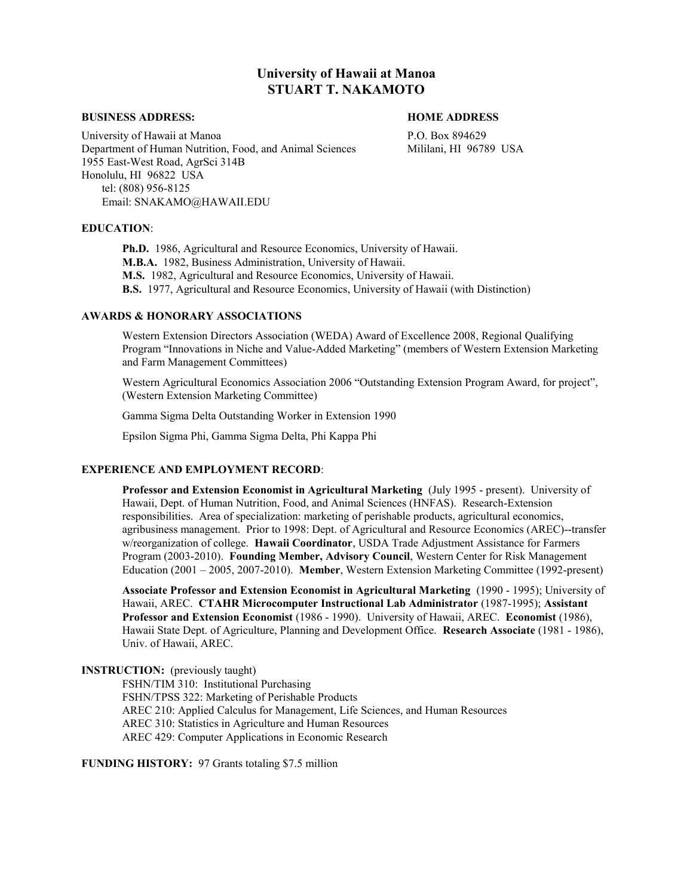# **University of Hawaii at Manoa STUART T. NAKAMOTO**

#### **BUSINESS ADDRESS: HOME ADDRESS**

University of Hawaii at Manoa P.O. Box 894629 Department of Human Nutrition, Food, and Animal Sciences Mililani, HI 96789 USA 1955 East-West Road, AgrSci 314B Honolulu, HI 96822 USA tel: (808) 956-8125 Email: SNAKAMO@HAWAII.EDU

#### **EDUCATION**:

**Ph.D.** 1986, Agricultural and Resource Economics, University of Hawaii. **M.B.A.** 1982, Business Administration, University of Hawaii. **M.S.** 1982, Agricultural and Resource Economics, University of Hawaii. **B.S.** 1977, Agricultural and Resource Economics, University of Hawaii (with Distinction)

# **AWARDS & HONORARY ASSOCIATIONS**

Western Extension Directors Association (WEDA) Award of Excellence 2008, Regional Qualifying Program "Innovations in Niche and Value-Added Marketing" (members of Western Extension Marketing and Farm Management Committees)

Western Agricultural Economics Association 2006 "Outstanding Extension Program Award, for project", (Western Extension Marketing Committee)

Gamma Sigma Delta Outstanding Worker in Extension 1990

Epsilon Sigma Phi, Gamma Sigma Delta, Phi Kappa Phi

# **EXPERIENCE AND EMPLOYMENT RECORD**:

**Professor and Extension Economist in Agricultural Marketing** (July 1995 - present). University of Hawaii, Dept. of Human Nutrition, Food, and Animal Sciences (HNFAS). Research-Extension responsibilities. Area of specialization: marketing of perishable products, agricultural economics, agribusiness management. Prior to 1998: Dept. of Agricultural and Resource Economics (AREC)--transfer w/reorganization of college. **Hawaii Coordinator**, USDA Trade Adjustment Assistance for Farmers Program (2003-2010). **Founding Member, Advisory Council**, Western Center for Risk Management Education (2001 – 2005, 2007-2010). **Member**, Western Extension Marketing Committee (1992-present)

**Associate Professor and Extension Economist in Agricultural Marketing** (1990 - 1995); University of Hawaii, AREC. **CTAHR Microcomputer Instructional Lab Administrator** (1987-1995); **Assistant Professor and Extension Economist** (1986 - 1990). University of Hawaii, AREC. **Economist** (1986), Hawaii State Dept. of Agriculture, Planning and Development Office. **Research Associate** (1981 - 1986), Univ. of Hawaii, AREC.

# **INSTRUCTION:** (previously taught)

FSHN/TIM 310: Institutional Purchasing FSHN/TPSS 322: Marketing of Perishable Products AREC 210: Applied Calculus for Management, Life Sciences, and Human Resources AREC 310: Statistics in Agriculture and Human Resources AREC 429: Computer Applications in Economic Research

**FUNDING HISTORY:** 97 Grants totaling \$7.5 million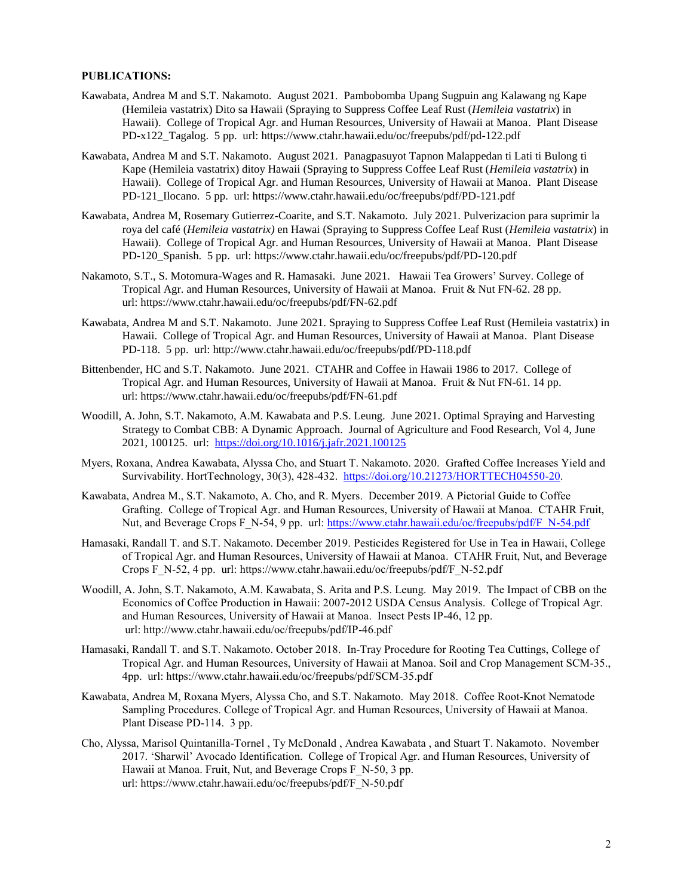# **PUBLICATIONS:**

- Kawabata, Andrea M and S.T. Nakamoto. August 2021. Pambobomba Upang Sugpuin ang Kalawang ng Kape (Hemileia vastatrix) Dito sa Hawaii (Spraying to Suppress Coffee Leaf Rust (*Hemileia vastatrix*) in Hawaii). College of Tropical Agr. and Human Resources, University of Hawaii at Manoa. Plant Disease PD-x122\_Tagalog. 5 pp. url: https://www.ctahr.hawaii.edu/oc/freepubs/pdf/pd-122.pdf
- Kawabata, Andrea M and S.T. Nakamoto. August 2021. Panagpasuyot Tapnon Malappedan ti Lati ti Bulong ti Kape (Hemileia vastatrix) ditoy Hawaii (Spraying to Suppress Coffee Leaf Rust (*Hemileia vastatrix*) in Hawaii). College of Tropical Agr. and Human Resources, University of Hawaii at Manoa. Plant Disease PD-121\_Ilocano. 5 pp. url: https://www.ctahr.hawaii.edu/oc/freepubs/pdf/PD-121.pdf
- Kawabata, Andrea M, Rosemary Gutierrez-Coarite, and S.T. Nakamoto. July 2021. Pulverizacion para suprimir la roya del café (*Hemileia vastatrix)* en Hawai (Spraying to Suppress Coffee Leaf Rust (*Hemileia vastatrix*) in Hawaii). College of Tropical Agr. and Human Resources, University of Hawaii at Manoa. Plant Disease PD-120\_Spanish. 5 pp. url: https://www.ctahr.hawaii.edu/oc/freepubs/pdf/PD-120.pdf
- Nakamoto, S.T., S. Motomura-Wages and R. Hamasaki. June 2021. Hawaii Tea Growers' Survey. College of Tropical Agr. and Human Resources, University of Hawaii at Manoa. Fruit & Nut FN-62. 28 pp. url: https://www.ctahr.hawaii.edu/oc/freepubs/pdf/FN-62.pdf
- Kawabata, Andrea M and S.T. Nakamoto. June 2021. Spraying to Suppress Coffee Leaf Rust (Hemileia vastatrix) in Hawaii. College of Tropical Agr. and Human Resources, University of Hawaii at Manoa. Plant Disease PD-118. 5 pp. url: http://www.ctahr.hawaii.edu/oc/freepubs/pdf/PD-118.pdf
- Bittenbender, HC and S.T. Nakamoto. June 2021*.* CTAHR and Coffee in Hawaii 1986 to 2017. College of Tropical Agr. and Human Resources, University of Hawaii at Manoa. Fruit & Nut FN-61. 14 pp. url: https://www.ctahr.hawaii.edu/oc/freepubs/pdf/FN-61.pdf
- Woodill, A. John, S.T. Nakamoto, A.M. Kawabata and P.S. Leung. June 2021. Optimal Spraying and Harvesting Strategy to Combat CBB: A Dynamic Approach. Journal of Agriculture and Food Research, Vol 4, June 2021, 100125. url: <https://doi.org/10.1016/j.jafr.2021.100125>
- Myers, Roxana, Andrea Kawabata, Alyssa Cho, and Stuart T. Nakamoto. 2020. Grafted Coffee Increases Yield and Survivability. HortTechnology, 30(3), 428-432. [https://doi.org/10.21273/HORTTECH04550-20.](https://doi.org/10.21273/HORTTECH04550-20)
- Kawabata, Andrea M., S.T. Nakamoto, A. Cho, and R. Myers. December 2019. A Pictorial Guide to Coffee Grafting. College of Tropical Agr. and Human Resources, University of Hawaii at Manoa. CTAHR Fruit, Nut, and Beverage Crops F\_N-54, 9 pp. url: [https://www.ctahr.hawaii.edu/oc/freepubs/pdf/F\\_N-54.pdf](https://www.ctahr.hawaii.edu/oc/freepubs/pdf/F_N-54.pdf)
- Hamasaki, Randall T. and S.T. Nakamoto. December 2019. Pesticides Registered for Use in Tea in Hawaii, College of Tropical Agr. and Human Resources, University of Hawaii at Manoa. CTAHR Fruit, Nut, and Beverage Crops F\_N-52, 4 pp. url: https://www.ctahr.hawaii.edu/oc/freepubs/pdf/F\_N-52.pdf
- Woodill, A. John, S.T. Nakamoto, A.M. Kawabata, S. Arita and P.S. Leung. May 2019. The Impact of CBB on the Economics of Coffee Production in Hawaii: 2007-2012 USDA Census Analysis. College of Tropical Agr. and Human Resources, University of Hawaii at Manoa. Insect Pests IP-46, 12 pp. url: http://www.ctahr.hawaii.edu/oc/freepubs/pdf/IP-46.pdf
- Hamasaki, Randall T. and S.T. Nakamoto. October 2018. In-Tray Procedure for Rooting Tea Cuttings, College of Tropical Agr. and Human Resources, University of Hawaii at Manoa. Soil and Crop Management SCM-35., 4pp. url: https://www.ctahr.hawaii.edu/oc/freepubs/pdf/SCM-35.pdf
- Kawabata, Andrea M, Roxana Myers, Alyssa Cho, and S.T. Nakamoto. May 2018. Coffee Root-Knot Nematode Sampling Procedures. College of Tropical Agr. and Human Resources, University of Hawaii at Manoa. Plant Disease PD-114. 3 pp.
- Cho, Alyssa, Marisol Quintanilla-Tornel , Ty McDonald , Andrea Kawabata , and Stuart T. Nakamoto. November 2017. 'Sharwil' Avocado Identification. College of Tropical Agr. and Human Resources, University of Hawaii at Manoa. Fruit, Nut, and Beverage Crops F\_N-50, 3 pp. url: https://www.ctahr.hawaii.edu/oc/freepubs/pdf/F\_N-50.pdf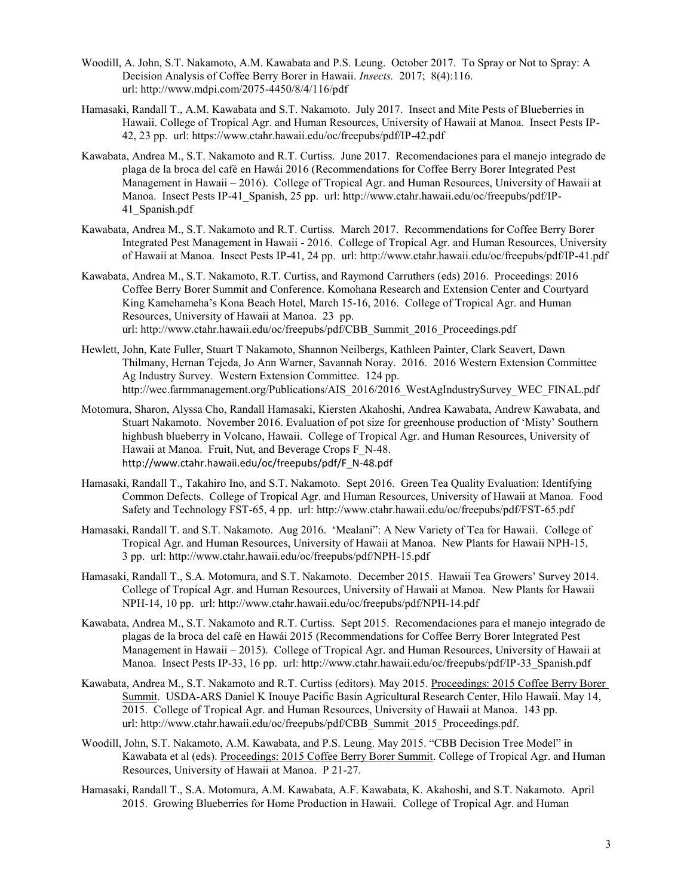- Woodill, A. John, S.T. Nakamoto, A.M. Kawabata and P.S. Leung. October 2017. To Spray or Not to Spray: A Decision Analysis of Coffee Berry Borer in Hawaii. *Insects.* 2017; 8(4):116. url: http://www.mdpi.com/2075-4450/8/4/116/pdf
- Hamasaki, Randall T., A.M. Kawabata and S.T. Nakamoto. July 2017. Insect and Mite Pests of Blueberries in Hawaii. College of Tropical Agr. and Human Resources, University of Hawaii at Manoa. Insect Pests IP-42, 23 pp. url: https://www.ctahr.hawaii.edu/oc/freepubs/pdf/IP-42.pdf
- Kawabata, Andrea M., S.T. Nakamoto and R.T. Curtiss. June 2017. Recomendaciones para el manejo integrado de plaga de la broca del café en Hawái 2016 (Recommendations for Coffee Berry Borer Integrated Pest Management in Hawaii – 2016). College of Tropical Agr. and Human Resources, University of Hawaii at Manoa. Insect Pests IP-41\_Spanish, 25 pp. url: http://www.ctahr.hawaii.edu/oc/freepubs/pdf/IP-41\_Spanish.pdf
- Kawabata, Andrea M., S.T. Nakamoto and R.T. Curtiss. March 2017. Recommendations for Coffee Berry Borer Integrated Pest Management in Hawaii - 2016. College of Tropical Agr. and Human Resources, University of Hawaii at Manoa. Insect Pests IP-41, 24 pp. url: http://www.ctahr.hawaii.edu/oc/freepubs/pdf/IP-41.pdf
- Kawabata, Andrea M., S.T. Nakamoto, R.T. Curtiss, and Raymond Carruthers (eds) 2016. Proceedings: 2016 Coffee Berry Borer Summit and Conference. Komohana Research and Extension Center and Courtyard King Kamehameha's Kona Beach Hotel, March 15-16, 2016. College of Tropical Agr. and Human Resources, University of Hawaii at Manoa. 23 pp. url: http://www.ctahr.hawaii.edu/oc/freepubs/pdf/CBB\_Summit\_2016\_Proceedings.pdf
- Hewlett, John, Kate Fuller, Stuart T Nakamoto, Shannon Neilbergs, Kathleen Painter, Clark Seavert, Dawn Thilmany, Hernan Tejeda, Jo Ann Warner, Savannah Noray. 2016. 2016 Western Extension Committee Ag Industry Survey. Western Extension Committee. 124 pp. http://wec.farmmanagement.org/Publications/AIS\_2016/2016\_WestAgIndustrySurvey\_WEC\_FINAL.pdf
- Motomura, Sharon, Alyssa Cho, Randall Hamasaki, Kiersten Akahoshi, Andrea Kawabata, Andrew Kawabata, and Stuart Nakamoto. November 2016. Evaluation of pot size for greenhouse production of 'Misty' Southern highbush blueberry in Volcano, Hawaii. College of Tropical Agr. and Human Resources, University of Hawaii at Manoa. Fruit, Nut, and Beverage Crops F\_N-48. http://www.ctahr.hawaii.edu/oc/freepubs/pdf/F\_N-48.pdf
- Hamasaki, Randall T., Takahiro Ino, and S.T. Nakamoto. Sept 2016. Green Tea Quality Evaluation: Identifying Common Defects. College of Tropical Agr. and Human Resources, University of Hawaii at Manoa. Food Safety and Technology FST-65, 4 pp. url: http://www.ctahr.hawaii.edu/oc/freepubs/pdf/FST-65.pdf
- Hamasaki, Randall T. and S.T. Nakamoto. Aug 2016. 'Mealani": A New Variety of Tea for Hawaii. College of Tropical Agr. and Human Resources, University of Hawaii at Manoa. New Plants for Hawaii NPH-15, 3 pp. url: http://www.ctahr.hawaii.edu/oc/freepubs/pdf/NPH-15.pdf
- Hamasaki, Randall T., S.A. Motomura, and S.T. Nakamoto. December 2015. Hawaii Tea Growers' Survey 2014. College of Tropical Agr. and Human Resources, University of Hawaii at Manoa. New Plants for Hawaii NPH-14, 10 pp. url: http://www.ctahr.hawaii.edu/oc/freepubs/pdf/NPH-14.pdf
- Kawabata, Andrea M., S.T. Nakamoto and R.T. Curtiss. Sept 2015. Recomendaciones para el manejo integrado de plagas de la broca del café en Hawái 2015 (Recommendations for Coffee Berry Borer Integrated Pest Management in Hawaii – 2015). College of Tropical Agr. and Human Resources, University of Hawaii at Manoa. Insect Pests IP-33, 16 pp. url: http://www.ctahr.hawaii.edu/oc/freepubs/pdf/IP-33\_Spanish.pdf
- Kawabata, Andrea M., S.T. Nakamoto and R.T. Curtiss (editors). May 2015. Proceedings: 2015 Coffee Berry Borer Summit. USDA-ARS Daniel K Inouye Pacific Basin Agricultural Research Center, Hilo Hawaii. May 14, 2015. College of Tropical Agr. and Human Resources, University of Hawaii at Manoa. 143 pp. url: http://www.ctahr.hawaii.edu/oc/freepubs/pdf/CBB\_Summit\_2015\_Proceedings.pdf.
- Woodill, John, S.T. Nakamoto, A.M. Kawabata, and P.S. Leung. May 2015. "CBB Decision Tree Model" in Kawabata et al (eds). Proceedings: 2015 Coffee Berry Borer Summit. College of Tropical Agr. and Human Resources, University of Hawaii at Manoa. P 21-27.
- Hamasaki, Randall T., S.A. Motomura, A.M. Kawabata, A.F. Kawabata, K. Akahoshi, and S.T. Nakamoto. April 2015. Growing Blueberries for Home Production in Hawaii. College of Tropical Agr. and Human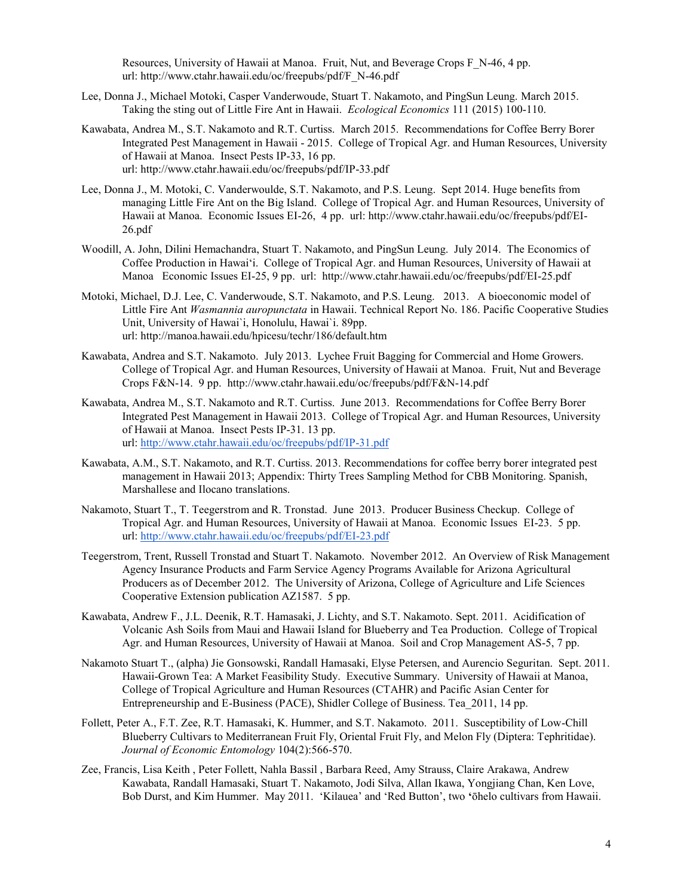Resources, University of Hawaii at Manoa. Fruit, Nut, and Beverage Crops F\_N-46, 4 pp. url: http://www.ctahr.hawaii.edu/oc/freepubs/pdf/F\_N-46.pdf

- Lee, Donna J., Michael Motoki, Casper Vanderwoude, Stuart T. Nakamoto, and PingSun Leung. March 2015. Taking the sting out of Little Fire Ant in Hawaii. *Ecological Economics* 111 (2015) 100-110.
- Kawabata, Andrea M., S.T. Nakamoto and R.T. Curtiss. March 2015. Recommendations for Coffee Berry Borer Integrated Pest Management in Hawaii - 2015. College of Tropical Agr. and Human Resources, University of Hawaii at Manoa. Insect Pests IP-33, 16 pp. url: http://www.ctahr.hawaii.edu/oc/freepubs/pdf/IP-33.pdf
- Lee, Donna J., M. Motoki, C. Vanderwoulde, S.T. Nakamoto, and P.S. Leung. Sept 2014. Huge benefits from managing Little Fire Ant on the Big Island. College of Tropical Agr. and Human Resources, University of Hawaii at Manoa. Economic Issues EI-26, 4 pp. url: http://www.ctahr.hawaii.edu/oc/freepubs/pdf/EI-26.pdf
- Woodill, A. John, Dilini Hemachandra, Stuart T. Nakamoto, and PingSun Leung. July 2014. The Economics of Coffee Production in Hawai'i. College of Tropical Agr. and Human Resources, University of Hawaii at Manoa Economic Issues EI-25, 9 pp. url: http://www.ctahr.hawaii.edu/oc/freepubs/pdf/EI-25.pdf
- Motoki, Michael, D.J. Lee, C. Vanderwoude, S.T. Nakamoto, and P.S. Leung. 2013. A bioeconomic model of Little Fire Ant *Wasmannia auropunctata* in Hawaii. Technical Report No. 186. Pacific Cooperative Studies Unit, University of Hawai`i, Honolulu, Hawai`i. 89pp. url: http://manoa.hawaii.edu/hpicesu/techr/186/default.htm
- Kawabata, Andrea and S.T. Nakamoto. July 2013. Lychee Fruit Bagging for Commercial and Home Growers. College of Tropical Agr. and Human Resources, University of Hawaii at Manoa. Fruit, Nut and Beverage Crops F&N-14. 9 pp. http://www.ctahr.hawaii.edu/oc/freepubs/pdf/F&N-14.pdf
- Kawabata, Andrea M., S.T. Nakamoto and R.T. Curtiss. June 2013. Recommendations for Coffee Berry Borer Integrated Pest Management in Hawaii 2013. College of Tropical Agr. and Human Resources, University of Hawaii at Manoa. Insect Pests IP-31. 13 pp. url:<http://www.ctahr.hawaii.edu/oc/freepubs/pdf/IP-31.pdf>
- Kawabata, A.M., S.T. Nakamoto, and R.T. Curtiss. 2013. Recommendations for coffee berry borer integrated pest management in Hawaii 2013; Appendix: Thirty Trees Sampling Method for CBB Monitoring. Spanish, Marshallese and Ilocano translations.
- Nakamoto, Stuart T., T. Teegerstrom and R. Tronstad. June 2013. Producer Business Checkup. College of Tropical Agr. and Human Resources, University of Hawaii at Manoa. Economic Issues EI-23. 5 pp. url: <http://www.ctahr.hawaii.edu/oc/freepubs/pdf/EI-23.pdf>
- Teegerstrom, Trent, Russell Tronstad and Stuart T. Nakamoto. November 2012. An Overview of Risk Management Agency Insurance Products and Farm Service Agency Programs Available for Arizona Agricultural Producers as of December 2012. The University of Arizona, College of Agriculture and Life Sciences Cooperative Extension publication AZ1587. 5 pp.
- Kawabata, Andrew F., J.L. Deenik, R.T. Hamasaki, J. Lichty, and S.T. Nakamoto. Sept. 2011. Acidification of Volcanic Ash Soils from Maui and Hawaii Island for Blueberry and Tea Production. College of Tropical Agr. and Human Resources, University of Hawaii at Manoa. Soil and Crop Management AS-5, 7 pp.
- Nakamoto Stuart T., (alpha) Jie Gonsowski, Randall Hamasaki, Elyse Petersen, and Aurencio Seguritan. Sept. 2011. Hawaii-Grown Tea: A Market Feasibility Study. Executive Summary. University of Hawaii at Manoa, College of Tropical Agriculture and Human Resources (CTAHR) and Pacific Asian Center for Entrepreneurship and E-Business (PACE), Shidler College of Business. Tea\_2011, 14 pp.
- Follett, Peter A., F.T. Zee, R.T. Hamasaki, K. Hummer, and S.T. Nakamoto. 2011. Susceptibility of Low-Chill Blueberry Cultivars to Mediterranean Fruit Fly, Oriental Fruit Fly, and Melon Fly (Diptera: Tephritidae). *Journal of Economic Entomology* 104(2):566-570.
- Zee, Francis, Lisa Keith , Peter Follett, Nahla Bassil , Barbara Reed, Amy Strauss, Claire Arakawa, Andrew Kawabata, Randall Hamasaki, Stuart T. Nakamoto, Jodi Silva, Allan Ikawa, Yongjiang Chan, Ken Love, Bob Durst, and Kim Hummer. May 2011. 'Kilauea' and 'Red Button', two **'**ōhelo cultivars from Hawaii.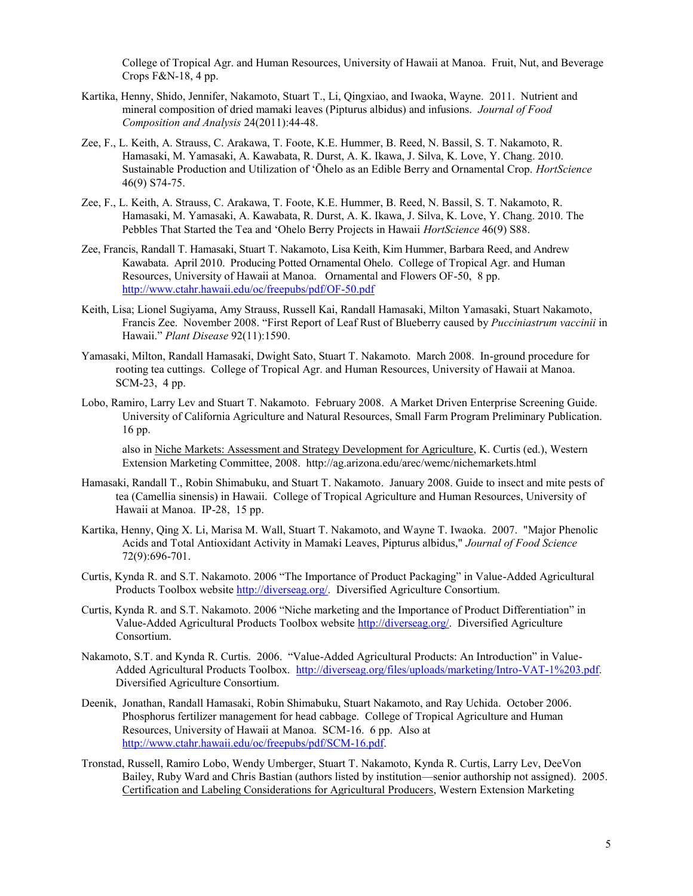College of Tropical Agr. and Human Resources, University of Hawaii at Manoa. Fruit, Nut, and Beverage Crops F&N-18, 4 pp.

- Kartika, Henny, Shido, Jennifer, Nakamoto, Stuart T., Li, Qingxiao, and Iwaoka, Wayne. 2011. Nutrient and mineral composition of dried mamaki leaves (Pipturus albidus) and infusions. *Journal of Food Composition and Analysis* 24(2011):44-48.
- Zee, F., L. Keith, A. Strauss, C. Arakawa, T. Foote, K.E. Hummer, B. Reed, N. Bassil, S. T. Nakamoto, R. Hamasaki, M. Yamasaki, A. Kawabata, R. Durst, A. K. Ikawa, J. Silva, K. Love, Y. Chang. 2010. Sustainable Production and Utilization of 'Ōhelo as an Edible Berry and Ornamental Crop. *HortScience* 46(9) S74-75.
- Zee, F., L. Keith, A. Strauss, C. Arakawa, T. Foote, K.E. Hummer, B. Reed, N. Bassil, S. T. Nakamoto, R. Hamasaki, M. Yamasaki, A. Kawabata, R. Durst, A. K. Ikawa, J. Silva, K. Love, Y. Chang. 2010. The Pebbles That Started the Tea and 'Ohelo Berry Projects in Hawaii *HortScience* 46(9) S88.
- Zee, Francis, Randall T. Hamasaki, Stuart T. Nakamoto, Lisa Keith, Kim Hummer, Barbara Reed, and Andrew Kawabata. April 2010. Producing Potted Ornamental Ohelo. College of Tropical Agr. and Human Resources, University of Hawaii at Manoa. Ornamental and Flowers OF-50, 8 pp. <http://www.ctahr.hawaii.edu/oc/freepubs/pdf/OF-50.pdf>
- Keith, Lisa; Lionel Sugiyama, Amy Strauss, Russell Kai, Randall Hamasaki, Milton Yamasaki, Stuart Nakamoto, Francis Zee. November 2008. "First Report of Leaf Rust of Blueberry caused by *Pucciniastrum vaccinii* in Hawaii." *Plant Disease* 92(11):1590.
- Yamasaki, Milton, Randall Hamasaki, Dwight Sato, Stuart T. Nakamoto. March 2008. In-ground procedure for rooting tea cuttings. College of Tropical Agr. and Human Resources, University of Hawaii at Manoa. SCM-23, 4 pp.
- Lobo, Ramiro, Larry Lev and Stuart T. Nakamoto. February 2008. A Market Driven Enterprise Screening Guide. University of California Agriculture and Natural Resources, Small Farm Program Preliminary Publication. 16 pp.

also in Niche Markets: Assessment and Strategy Development for Agriculture, K. Curtis (ed.), Western Extension Marketing Committee, 2008. http://ag.arizona.edu/arec/wemc/nichemarkets.html

- Hamasaki, Randall T., Robin Shimabuku, and Stuart T. Nakamoto. January 2008. Guide to insect and mite pests of tea (Camellia sinensis) in Hawaii. College of Tropical Agriculture and Human Resources, University of Hawaii at Manoa. IP-28, 15 pp.
- Kartika, Henny, Qing X. Li, Marisa M. Wall, Stuart T. Nakamoto, and Wayne T. Iwaoka. 2007. "Major Phenolic Acids and Total Antioxidant Activity in Mamaki Leaves, Pipturus albidus," *Journal of Food Science* 72(9):696-701.
- Curtis, Kynda R. and S.T. Nakamoto. 2006 "The Importance of Product Packaging" in Value-Added Agricultural Products Toolbox website http://diverseag.org/. Diversified Agriculture Consortium.
- Curtis, Kynda R. and S.T. Nakamoto. 2006 "Niche marketing and the Importance of Product Differentiation" in Value-Added Agricultural Products Toolbox website http://diverseag.org/. Diversified Agriculture Consortium.
- Nakamoto, S.T. and Kynda R. Curtis. 2006. "Value-Added Agricultural Products: An Introduction" in Value-Added Agricultural Products Toolbox. [http://diverseag.org/files/uploads/marketing/Intro-VAT-1%203.pdf.](http://diverseag.org/files/uploads/marketing/Intro-VAT-1%203.pdf)  Diversified Agriculture Consortium.
- Deenik, Jonathan, Randall Hamasaki, Robin Shimabuku, Stuart Nakamoto, and Ray Uchida. October 2006. Phosphorus fertilizer management for head cabbage. College of Tropical Agriculture and Human Resources, University of Hawaii at Manoa. SCM-16. 6 pp. Also at http://www.ctahr.hawaii.edu/oc/freepubs/pdf/SCM-16.pdf.
- Tronstad, Russell, Ramiro Lobo, Wendy Umberger, Stuart T. Nakamoto, Kynda R. Curtis, Larry Lev, DeeVon Bailey, Ruby Ward and Chris Bastian (authors listed by institution—senior authorship not assigned). 2005. Certification and Labeling Considerations for Agricultural Producers, Western Extension Marketing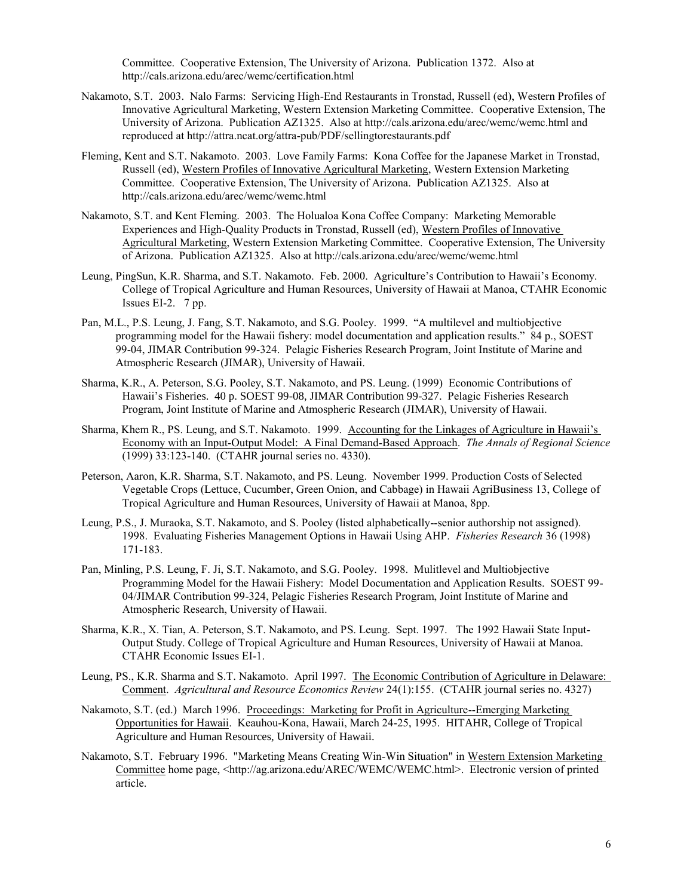Committee. Cooperative Extension, The University of Arizona. Publication 1372. Also at http://cals.arizona.edu/arec/wemc/certification.html

- Nakamoto, S.T. 2003. Nalo Farms: Servicing High-End Restaurants in Tronstad, Russell (ed), Western Profiles of Innovative Agricultural Marketing, Western Extension Marketing Committee. Cooperative Extension, The University of Arizona. Publication AZ1325. Also at http://cals.arizona.edu/arec/wemc/wemc.html and reproduced at http://attra.ncat.org/attra-pub/PDF/sellingtorestaurants.pdf
- Fleming, Kent and S.T. Nakamoto. 2003. Love Family Farms: Kona Coffee for the Japanese Market in Tronstad, Russell (ed), Western Profiles of Innovative Agricultural Marketing, Western Extension Marketing Committee. Cooperative Extension, The University of Arizona. Publication AZ1325. Also at http://cals.arizona.edu/arec/wemc/wemc.html
- Nakamoto, S.T. and Kent Fleming. 2003. The Holualoa Kona Coffee Company: Marketing Memorable Experiences and High-Quality Products in Tronstad, Russell (ed), Western Profiles of Innovative Agricultural Marketing, Western Extension Marketing Committee. Cooperative Extension, The University of Arizona. Publication AZ1325. Also at http://cals.arizona.edu/arec/wemc/wemc.html
- Leung, PingSun, K.R. Sharma, and S.T. Nakamoto. Feb. 2000. Agriculture's Contribution to Hawaii's Economy. College of Tropical Agriculture and Human Resources, University of Hawaii at Manoa, CTAHR Economic Issues EI-2. 7 pp.
- Pan, M.L., P.S. Leung, J. Fang, S.T. Nakamoto, and S.G. Pooley. 1999. "A multilevel and multiobjective programming model for the Hawaii fishery: model documentation and application results." 84 p., SOEST 99-04, JIMAR Contribution 99-324. Pelagic Fisheries Research Program, Joint Institute of Marine and Atmospheric Research (JIMAR), University of Hawaii.
- Sharma, K.R., A. Peterson, S.G. Pooley, S.T. Nakamoto, and PS. Leung. (1999) Economic Contributions of Hawaii's Fisheries. 40 p. SOEST 99-08, JIMAR Contribution 99-327. Pelagic Fisheries Research Program, Joint Institute of Marine and Atmospheric Research (JIMAR), University of Hawaii.
- Sharma, Khem R., PS. Leung, and S.T. Nakamoto. 1999. Accounting for the Linkages of Agriculture in Hawaii's Economy with an Input-Output Model: A Final Demand-Based Approach. *The Annals of Regional Science* (1999) 33:123-140. (CTAHR journal series no. 4330).
- Peterson, Aaron, K.R. Sharma, S.T. Nakamoto, and PS. Leung. November 1999. Production Costs of Selected Vegetable Crops (Lettuce, Cucumber, Green Onion, and Cabbage) in Hawaii AgriBusiness 13, College of Tropical Agriculture and Human Resources, University of Hawaii at Manoa, 8pp.
- Leung, P.S., J. Muraoka, S.T. Nakamoto, and S. Pooley (listed alphabetically--senior authorship not assigned). 1998. Evaluating Fisheries Management Options in Hawaii Using AHP. *Fisheries Research* 36 (1998) 171-183.
- Pan, Minling, P.S. Leung, F. Ji, S.T. Nakamoto, and S.G. Pooley. 1998. Mulitlevel and Multiobjective Programming Model for the Hawaii Fishery: Model Documentation and Application Results. SOEST 99- 04/JIMAR Contribution 99-324, Pelagic Fisheries Research Program, Joint Institute of Marine and Atmospheric Research, University of Hawaii.
- Sharma, K.R., X. Tian, A. Peterson, S.T. Nakamoto, and PS. Leung. Sept. 1997. The 1992 Hawaii State Input-Output Study. College of Tropical Agriculture and Human Resources, University of Hawaii at Manoa. CTAHR Economic Issues EI-1.
- Leung, PS., K.R. Sharma and S.T. Nakamoto. April 1997. The Economic Contribution of Agriculture in Delaware: Comment. *Agricultural and Resource Economics Review* 24(1):155. (CTAHR journal series no. 4327)
- Nakamoto, S.T. (ed.) March 1996. Proceedings: Marketing for Profit in Agriculture--Emerging Marketing Opportunities for Hawaii. Keauhou-Kona, Hawaii, March 24-25, 1995. HITAHR, College of Tropical Agriculture and Human Resources, University of Hawaii.
- Nakamoto, S.T. February 1996. "Marketing Means Creating Win-Win Situation" in Western Extension Marketing Committee home page, <http://ag.arizona.edu/AREC/WEMC/WEMC.html>. Electronic version of printed article.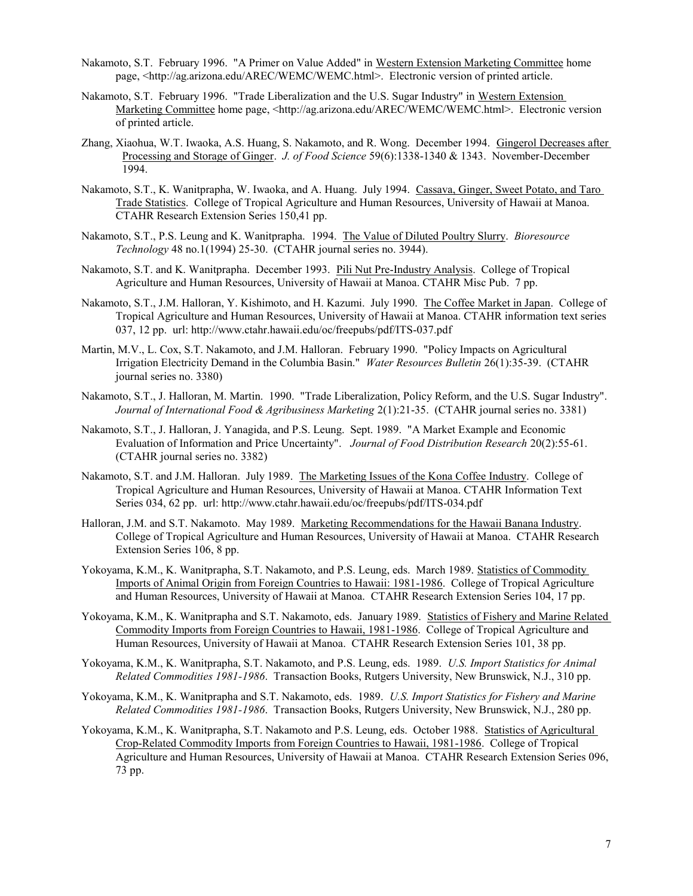- Nakamoto, S.T. February 1996. "A Primer on Value Added" in Western Extension Marketing Committee home page, <http://ag.arizona.edu/AREC/WEMC/WEMC.html>. Electronic version of printed article.
- Nakamoto, S.T. February 1996. "Trade Liberalization and the U.S. Sugar Industry" in Western Extension Marketing Committee home page, <http://ag.arizona.edu/AREC/WEMC/WEMC.html>. Electronic version of printed article.
- Zhang, Xiaohua, W.T. Iwaoka, A.S. Huang, S. Nakamoto, and R. Wong. December 1994. Gingerol Decreases after Processing and Storage of Ginger. *J. of Food Science* 59(6):1338-1340 & 1343. November-December 1994.
- Nakamoto, S.T., K. Wanitprapha, W. Iwaoka, and A. Huang. July 1994. Cassava, Ginger, Sweet Potato, and Taro Trade Statistics. College of Tropical Agriculture and Human Resources, University of Hawaii at Manoa. CTAHR Research Extension Series 150,41 pp.
- Nakamoto, S.T., P.S. Leung and K. Wanitprapha. 1994. The Value of Diluted Poultry Slurry. *Bioresource Technology* 48 no.1(1994) 25-30. (CTAHR journal series no. 3944).
- Nakamoto, S.T. and K. Wanitprapha. December 1993. Pili Nut Pre-Industry Analysis. College of Tropical Agriculture and Human Resources, University of Hawaii at Manoa. CTAHR Misc Pub. 7 pp.
- Nakamoto, S.T., J.M. Halloran, Y. Kishimoto, and H. Kazumi. July 1990. The Coffee Market in Japan. College of Tropical Agriculture and Human Resources, University of Hawaii at Manoa. CTAHR information text series 037, 12 pp. url: http://www.ctahr.hawaii.edu/oc/freepubs/pdf/ITS-037.pdf
- Martin, M.V., L. Cox, S.T. Nakamoto, and J.M. Halloran. February 1990. "Policy Impacts on Agricultural Irrigation Electricity Demand in the Columbia Basin." *Water Resources Bulletin* 26(1):35-39. (CTAHR journal series no. 3380)
- Nakamoto, S.T., J. Halloran, M. Martin. 1990. "Trade Liberalization, Policy Reform, and the U.S. Sugar Industry". *Journal of International Food & Agribusiness Marketing* 2(1):21-35. (CTAHR journal series no. 3381)
- Nakamoto, S.T., J. Halloran, J. Yanagida, and P.S. Leung. Sept. 1989. "A Market Example and Economic Evaluation of Information and Price Uncertainty". *Journal of Food Distribution Research* 20(2):55-61. (CTAHR journal series no. 3382)
- Nakamoto, S.T. and J.M. Halloran. July 1989. The Marketing Issues of the Kona Coffee Industry. College of Tropical Agriculture and Human Resources, University of Hawaii at Manoa. CTAHR Information Text Series 034, 62 pp. url: http://www.ctahr.hawaii.edu/oc/freepubs/pdf/ITS-034.pdf
- Halloran, J.M. and S.T. Nakamoto. May 1989. Marketing Recommendations for the Hawaii Banana Industry. College of Tropical Agriculture and Human Resources, University of Hawaii at Manoa. CTAHR Research Extension Series 106, 8 pp.
- Yokoyama, K.M., K. Wanitprapha, S.T. Nakamoto, and P.S. Leung, eds. March 1989. Statistics of Commodity Imports of Animal Origin from Foreign Countries to Hawaii: 1981-1986. College of Tropical Agriculture and Human Resources, University of Hawaii at Manoa. CTAHR Research Extension Series 104, 17 pp.
- Yokoyama, K.M., K. Wanitprapha and S.T. Nakamoto, eds. January 1989. Statistics of Fishery and Marine Related Commodity Imports from Foreign Countries to Hawaii, 1981-1986. College of Tropical Agriculture and Human Resources, University of Hawaii at Manoa. CTAHR Research Extension Series 101, 38 pp.
- Yokoyama, K.M., K. Wanitprapha, S.T. Nakamoto, and P.S. Leung, eds. 1989. *U.S. Import Statistics for Animal Related Commodities 1981-1986*. Transaction Books, Rutgers University, New Brunswick, N.J., 310 pp.
- Yokoyama, K.M., K. Wanitprapha and S.T. Nakamoto, eds. 1989. *U.S. Import Statistics for Fishery and Marine Related Commodities 1981-1986*. Transaction Books, Rutgers University, New Brunswick, N.J., 280 pp.
- Yokoyama, K.M., K. Wanitprapha, S.T. Nakamoto and P.S. Leung, eds. October 1988. Statistics of Agricultural Crop-Related Commodity Imports from Foreign Countries to Hawaii, 1981-1986. College of Tropical Agriculture and Human Resources, University of Hawaii at Manoa. CTAHR Research Extension Series 096, 73 pp.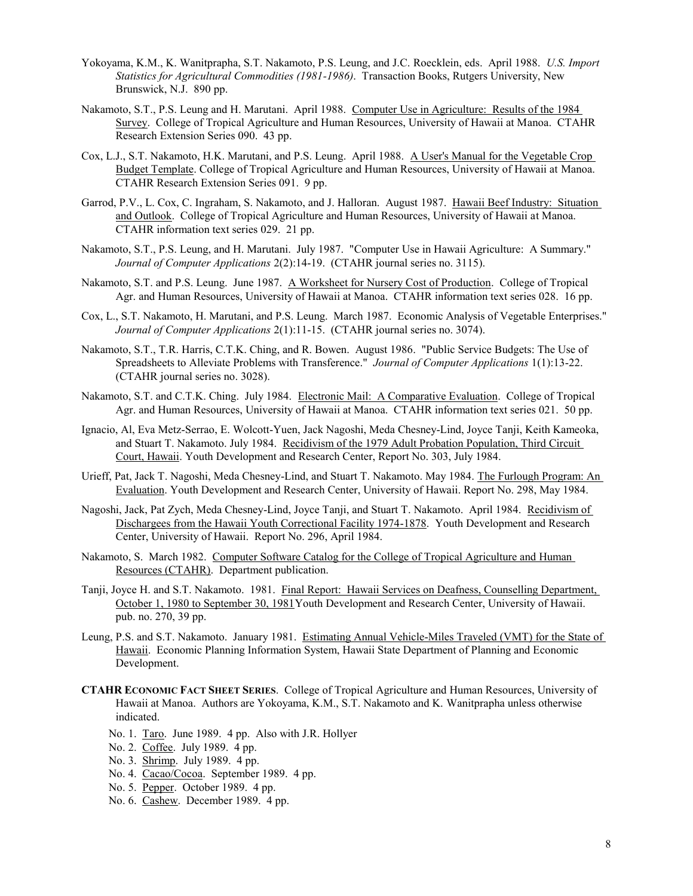- Yokoyama, K.M., K. Wanitprapha, S.T. Nakamoto, P.S. Leung, and J.C. Roecklein, eds. April 1988. *U.S. Import Statistics for Agricultural Commodities (1981-1986)*. Transaction Books, Rutgers University, New Brunswick, N.J. 890 pp.
- Nakamoto, S.T., P.S. Leung and H. Marutani. April 1988. Computer Use in Agriculture: Results of the 1984 Survey. College of Tropical Agriculture and Human Resources, University of Hawaii at Manoa. CTAHR Research Extension Series 090. 43 pp.
- Cox, L.J., S.T. Nakamoto, H.K. Marutani, and P.S. Leung. April 1988. A User's Manual for the Vegetable Crop Budget Template. College of Tropical Agriculture and Human Resources, University of Hawaii at Manoa. CTAHR Research Extension Series 091. 9 pp.
- Garrod, P.V., L. Cox, C. Ingraham, S. Nakamoto, and J. Halloran. August 1987. Hawaii Beef Industry: Situation and Outlook. College of Tropical Agriculture and Human Resources, University of Hawaii at Manoa. CTAHR information text series 029. 21 pp.
- Nakamoto, S.T., P.S. Leung, and H. Marutani. July 1987. "Computer Use in Hawaii Agriculture: A Summary." *Journal of Computer Applications* 2(2):14-19. (CTAHR journal series no. 3115).
- Nakamoto, S.T. and P.S. Leung. June 1987. A Worksheet for Nursery Cost of Production. College of Tropical Agr. and Human Resources, University of Hawaii at Manoa. CTAHR information text series 028. 16 pp.
- Cox, L., S.T. Nakamoto, H. Marutani, and P.S. Leung. March 1987. Economic Analysis of Vegetable Enterprises." *Journal of Computer Applications* 2(1):11-15. (CTAHR journal series no. 3074).
- Nakamoto, S.T., T.R. Harris, C.T.K. Ching, and R. Bowen. August 1986. "Public Service Budgets: The Use of Spreadsheets to Alleviate Problems with Transference." *Journal of Computer Applications* 1(1):13-22. (CTAHR journal series no. 3028).
- Nakamoto, S.T. and C.T.K. Ching. July 1984. Electronic Mail: A Comparative Evaluation. College of Tropical Agr. and Human Resources, University of Hawaii at Manoa. CTAHR information text series 021. 50 pp.
- Ignacio, Al, Eva Metz-Serrao, E. Wolcott-Yuen, Jack Nagoshi, Meda Chesney-Lind, Joyce Tanji, Keith Kameoka, and Stuart T. Nakamoto. July 1984. Recidivism of the 1979 Adult Probation Population, Third Circuit Court, Hawaii. Youth Development and Research Center, Report No. 303, July 1984.
- Urieff, Pat, Jack T. Nagoshi, Meda Chesney-Lind, and Stuart T. Nakamoto. May 1984. The Furlough Program: An Evaluation. Youth Development and Research Center, University of Hawaii. Report No. 298, May 1984.
- Nagoshi, Jack, Pat Zych, Meda Chesney-Lind, Joyce Tanji, and Stuart T. Nakamoto. April 1984. Recidivism of Dischargees from the Hawaii Youth Correctional Facility 1974-1878. Youth Development and Research Center, University of Hawaii. Report No. 296, April 1984.
- Nakamoto, S. March 1982. Computer Software Catalog for the College of Tropical Agriculture and Human Resources (CTAHR). Department publication.
- Tanji, Joyce H. and S.T. Nakamoto. 1981. Final Report: Hawaii Services on Deafness, Counselling Department, October 1, 1980 to September 30, 1981Youth Development and Research Center, University of Hawaii. pub. no. 270, 39 pp.
- Leung, P.S. and S.T. Nakamoto. January 1981. Estimating Annual Vehicle-Miles Traveled (VMT) for the State of Hawaii. Economic Planning Information System, Hawaii State Department of Planning and Economic Development.
- **CTAHR ECONOMIC FACT SHEET SERIES**. College of Tropical Agriculture and Human Resources, University of Hawaii at Manoa. Authors are Yokoyama, K.M., S.T. Nakamoto and K. Wanitprapha unless otherwise indicated.
	- No. 1. Taro. June 1989. 4 pp. Also with J.R. Hollyer
	- No. 2. Coffee. July 1989. 4 pp.
	- No. 3. Shrimp. July 1989. 4 pp.
	- No. 4. Cacao/Cocoa. September 1989. 4 pp.
	- No. 5. Pepper. October 1989. 4 pp.
	- No. 6. Cashew. December 1989. 4 pp.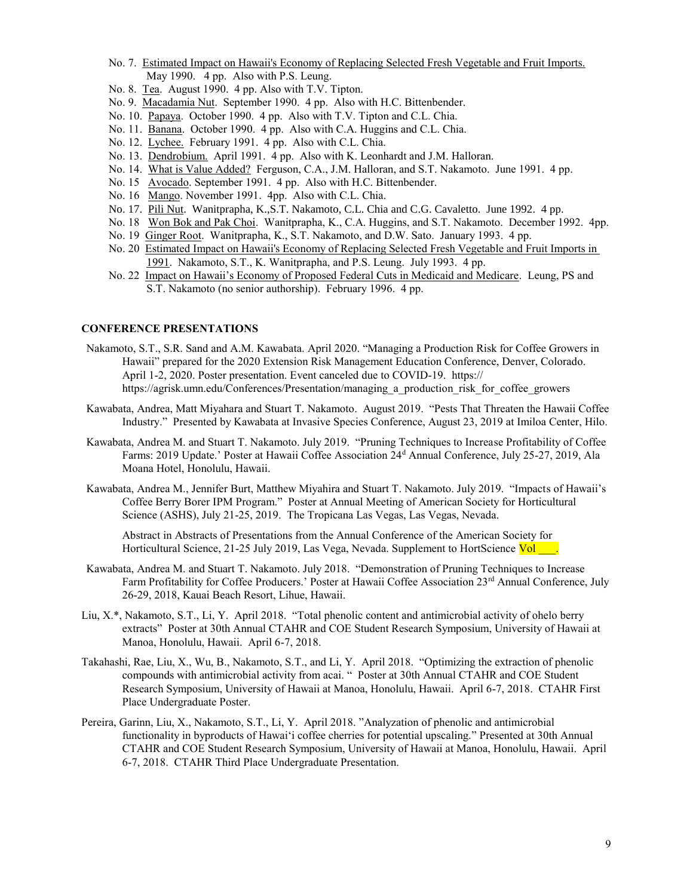- No. 7. Estimated Impact on Hawaii's Economy of Replacing Selected Fresh Vegetable and Fruit Imports. May 1990. 4 pp. Also with P.S. Leung.
- No. 8. Tea. August 1990. 4 pp. Also with T.V. Tipton.
- No. 9. Macadamia Nut. September 1990. 4 pp. Also with H.C. Bittenbender.
- No. 10. Papaya. October 1990. 4 pp. Also with T.V. Tipton and C.L. Chia.
- No. 11. Banana. October 1990. 4 pp. Also with C.A. Huggins and C.L. Chia.
- No. 12. Lychee. February 1991. 4 pp. Also with C.L. Chia.
- No. 13. Dendrobium. April 1991. 4 pp. Also with K. Leonhardt and J.M. Halloran.
- No. 14. What is Value Added? Ferguson, C.A., J.M. Halloran, and S.T. Nakamoto. June 1991. 4 pp.
- No. 15 Avocado. September 1991. 4 pp. Also with H.C. Bittenbender.
- No. 16 Mango. November 1991. 4pp. Also with C.L. Chia.
- No. 17. Pili Nut. Wanitprapha, K.,S.T. Nakamoto, C.L. Chia and C.G. Cavaletto. June 1992. 4 pp.
- No. 18 Won Bok and Pak Choi. Wanitprapha, K., C.A. Huggins, and S.T. Nakamoto. December 1992. 4pp.
- No. 19 Ginger Root. Wanitprapha, K., S.T. Nakamoto, and D.W. Sato. January 1993. 4 pp.
- No. 20 Estimated Impact on Hawaii's Economy of Replacing Selected Fresh Vegetable and Fruit Imports in 1991. Nakamoto, S.T., K. Wanitprapha, and P.S. Leung. July 1993. 4 pp.
- No. 22 Impact on Hawaii's Economy of Proposed Federal Cuts in Medicaid and Medicare. Leung, PS and S.T. Nakamoto (no senior authorship). February 1996. 4 pp.

# **CONFERENCE PRESENTATIONS**

- Nakamoto, S.T., S.R. Sand and A.M. Kawabata. April 2020. "Managing a Production Risk for Coffee Growers in Hawaii" prepared for the 2020 Extension Risk Management Education Conference, Denver, Colorado. April 1-2, 2020. Poster presentation. Event canceled due to COVID-19. https:// https://agrisk.umn.edu/Conferences/Presentation/managing a production risk for coffee growers
- Kawabata, Andrea, Matt Miyahara and Stuart T. Nakamoto. August 2019. "Pests That Threaten the Hawaii Coffee Industry." Presented by Kawabata at Invasive Species Conference, August 23, 2019 at Imiloa Center, Hilo.
- Kawabata, Andrea M. and Stuart T. Nakamoto. July 2019. "Pruning Techniques to Increase Profitability of Coffee Farms: 2019 Update.' Poster at Hawaii Coffee Association 24<sup>d</sup> Annual Conference, July 25-27, 2019, Ala Moana Hotel, Honolulu, Hawaii.
- Kawabata, Andrea M., Jennifer Burt, Matthew Miyahira and Stuart T. Nakamoto. July 2019. "Impacts of Hawaii's Coffee Berry Borer IPM Program." Poster at Annual Meeting of American Society for Horticultural Science (ASHS), July 21-25, 2019. The Tropicana Las Vegas, Las Vegas, Nevada.

Abstract in Abstracts of Presentations from the Annual Conference of the American Society for Horticultural Science, 21-25 July 2019, Las Vega, Nevada. Supplement to HortScience Vol

- Kawabata, Andrea M. and Stuart T. Nakamoto. July 2018. "Demonstration of Pruning Techniques to Increase Farm Profitability for Coffee Producers.' Poster at Hawaii Coffee Association 23rd Annual Conference, July 26-29, 2018, Kauai Beach Resort, Lihue, Hawaii.
- Liu, X.\*, Nakamoto, S.T., Li, Y. April 2018. "Total phenolic content and antimicrobial activity of ohelo berry extracts" Poster at 30th Annual CTAHR and COE Student Research Symposium, University of Hawaii at Manoa, Honolulu, Hawaii. April 6-7, 2018.
- Takahashi, Rae, Liu, X., Wu, B., Nakamoto, S.T., and Li, Y. April 2018. "Optimizing the extraction of phenolic compounds with antimicrobial activity from acai. " Poster at 30th Annual CTAHR and COE Student Research Symposium, University of Hawaii at Manoa, Honolulu, Hawaii. April 6-7, 2018. CTAHR First Place Undergraduate Poster.
- Pereira, Garinn, Liu, X., Nakamoto, S.T., Li, Y. April 2018. "Analyzation of phenolic and antimicrobial functionality in byproducts of Hawai'i coffee cherries for potential upscaling." Presented at 30th Annual CTAHR and COE Student Research Symposium, University of Hawaii at Manoa, Honolulu, Hawaii. April 6-7, 2018. CTAHR Third Place Undergraduate Presentation.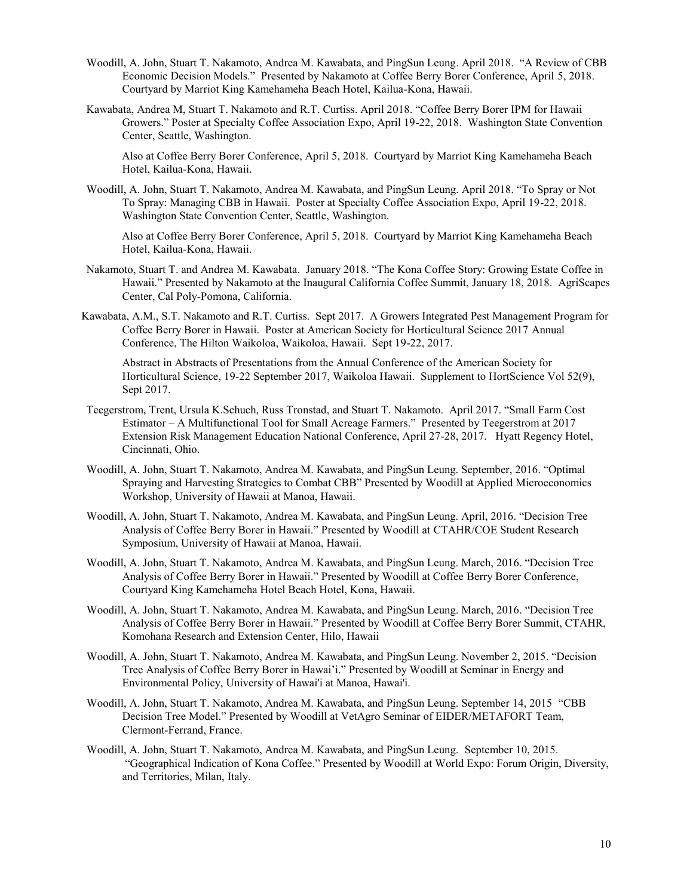- Woodill, A. John, Stuart T. Nakamoto, Andrea M. Kawabata, and PingSun Leung. April 2018. "A Review of CBB Economic Decision Models." Presented by Nakamoto at Coffee Berry Borer Conference, April 5, 2018. Courtyard by Marriot King Kamehameha Beach Hotel, Kailua-Kona, Hawaii.
- Kawabata, Andrea M, Stuart T. Nakamoto and R.T. Curtiss. April 2018. "Coffee Berry Borer IPM for Hawaii Growers." Poster at Specialty Coffee Association Expo, April 19-22, 2018. Washington State Convention Center, Seattle, Washington.

Also at Coffee Berry Borer Conference, April 5, 2018. Courtyard by Marriot King Kamehameha Beach Hotel, Kailua-Kona, Hawaii.

Woodill, A. John, Stuart T. Nakamoto, Andrea M. Kawabata, and PingSun Leung. April 2018. "To Spray or Not To Spray: Managing CBB in Hawaii. Poster at Specialty Coffee Association Expo, April 19-22, 2018. Washington State Convention Center, Seattle, Washington.

Also at Coffee Berry Borer Conference, April 5, 2018. Courtyard by Marriot King Kamehameha Beach Hotel, Kailua-Kona, Hawaii.

- Nakamoto, Stuart T. and Andrea M. Kawabata. January 2018. "The Kona Coffee Story: Growing Estate Coffee in Hawaii." Presented by Nakamoto at the Inaugural California Coffee Summit, January 18, 2018. AgriScapes Center, Cal Poly-Pomona, California.
- Kawabata, A.M., S.T. Nakamoto and R.T. Curtiss. Sept 2017. A Growers Integrated Pest Management Program for Coffee Berry Borer in Hawaii. Poster at American Society for Horticultural Science 2017 Annual Conference, The Hilton Waikoloa, Waikoloa, Hawaii. Sept 19-22, 2017.

Abstract in Abstracts of Presentations from the Annual Conference of the American Society for Horticultural Science, 19-22 September 2017, Waikoloa Hawaii. Supplement to HortScience Vol 52(9), Sept 2017.

- Teegerstrom, Trent, Ursula K.Schuch, Russ Tronstad, and Stuart T. Nakamoto. April 2017. "Small Farm Cost Estimator – A Multifunctional Tool for Small Acreage Farmers." Presented by Teegerstrom at 2017 Extension Risk Management Education National Conference, April 27-28, 2017. Hyatt Regency Hotel, Cincinnati, Ohio.
- Woodill, A. John, Stuart T. Nakamoto, Andrea M. Kawabata, and PingSun Leung. September, 2016. "Optimal Spraying and Harvesting Strategies to Combat CBB" Presented by Woodill at Applied Microeconomics Workshop, University of Hawaii at Manoa, Hawaii.
- Woodill, A. John, Stuart T. Nakamoto, Andrea M. Kawabata, and PingSun Leung. April, 2016. "Decision Tree Analysis of Coffee Berry Borer in Hawaii." Presented by Woodill at CTAHR/COE Student Research Symposium, University of Hawaii at Manoa, Hawaii.
- Woodill, A. John, Stuart T. Nakamoto, Andrea M. Kawabata, and PingSun Leung. March, 2016. "Decision Tree Analysis of Coffee Berry Borer in Hawaii." Presented by Woodill at Coffee Berry Borer Conference, Courtyard King Kamehameha Hotel Beach Hotel, Kona, Hawaii.
- Woodill, A. John, Stuart T. Nakamoto, Andrea M. Kawabata, and PingSun Leung. March, 2016. "Decision Tree Analysis of Coffee Berry Borer in Hawaii." Presented by Woodill at Coffee Berry Borer Summit, CTAHR, Komohana Research and Extension Center, Hilo, Hawaii
- Woodill, A. John, Stuart T. Nakamoto, Andrea M. Kawabata, and PingSun Leung. November 2, 2015. "Decision Tree Analysis of Coffee Berry Borer in Hawai'i." Presented by Woodill at Seminar in Energy and Environmental Policy, University of Hawai'i at Manoa, Hawai'i.
- Woodill, A. John, Stuart T. Nakamoto, Andrea M. Kawabata, and PingSun Leung. September 14, 2015 "CBB Decision Tree Model." Presented by Woodill at VetAgro Seminar of EIDER/METAFORT Team, Clermont-Ferrand, France.
- Woodill, A. John, Stuart T. Nakamoto, Andrea M. Kawabata, and PingSun Leung. September 10, 2015. "Geographical Indication of Kona Coffee." Presented by Woodill at World Expo: Forum Origin, Diversity, and Territories, Milan, Italy.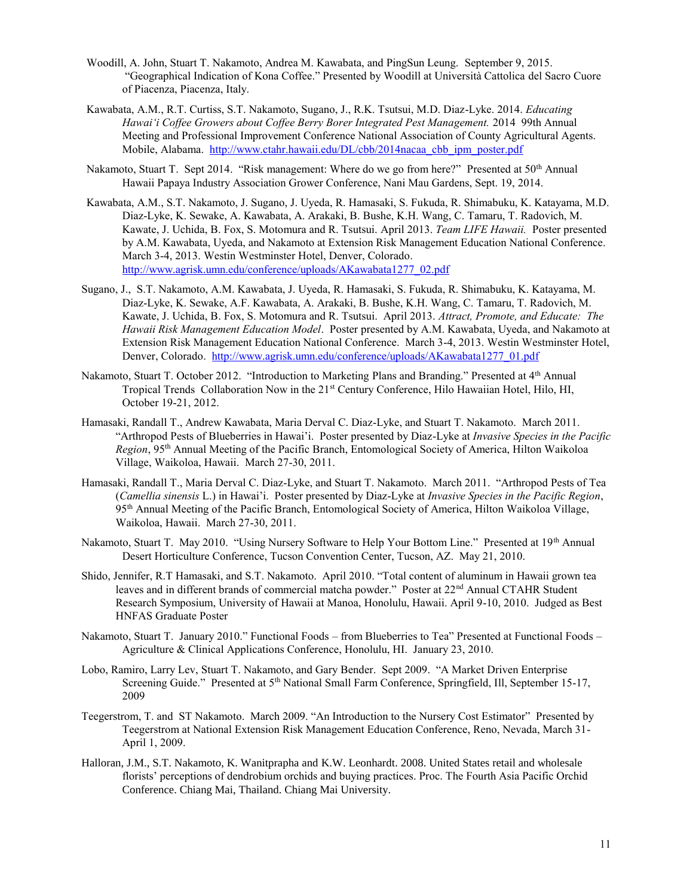- Woodill, A. John, Stuart T. Nakamoto, Andrea M. Kawabata, and PingSun Leung. September 9, 2015. "Geographical Indication of Kona Coffee." Presented by Woodill at Università Cattolica del Sacro Cuore of Piacenza, Piacenza, Italy.
- Kawabata, A.M., R.T. Curtiss, S.T. Nakamoto, Sugano, J., R.K. Tsutsui, M.D. Diaz-Lyke. 2014. *Educating Hawai'i Coffee Growers about Coffee Berry Borer Integrated Pest Management.* 2014 99th Annual Meeting and Professional Improvement Conference National Association of County Agricultural Agents. Mobile, Alabama. http://www.ctahr.hawaii.edu/DL/cbb/2014nacaa cbb\_ipm\_poster.pdf
- Nakamoto, Stuart T. Sept 2014. "Risk management: Where do we go from here?" Presented at 50<sup>th</sup> Annual Hawaii Papaya Industry Association Grower Conference, Nani Mau Gardens, Sept. 19, 2014.
- Kawabata, A.M., S.T. Nakamoto, J. Sugano, J. Uyeda, R. Hamasaki, S. Fukuda, R. Shimabuku, K. Katayama, M.D. Diaz-Lyke, K. Sewake, A. Kawabata, A. Arakaki, B. Bushe, K.H. Wang, C. Tamaru, T. Radovich, M. Kawate, J. Uchida, B. Fox, S. Motomura and R. Tsutsui. April 2013. *Team LIFE Hawaii.* Poster presented by A.M. Kawabata, Uyeda, and Nakamoto at Extension Risk Management Education National Conference. March 3-4, 2013. Westin Westminster Hotel, Denver, Colorado. [http://www.agrisk.umn.edu/conference/uploads/AKawabata1277\\_02.pdf](http://www.agrisk.umn.edu/conference/uploads/AKawabata1277_02.pdf)
- Sugano, J., S.T. Nakamoto, A.M. Kawabata, J. Uyeda, R. Hamasaki, S. Fukuda, R. Shimabuku, K. Katayama, M. Diaz-Lyke, K. Sewake, A.F. Kawabata, A. Arakaki, B. Bushe, K.H. Wang, C. Tamaru, T. Radovich, M. Kawate, J. Uchida, B. Fox, S. Motomura and R. Tsutsui. April 2013. *Attract, Promote, and Educate: The Hawaii Risk Management Education Model*. Poster presented by A.M. Kawabata, Uyeda, and Nakamoto at Extension Risk Management Education National Conference. March 3-4, 2013. Westin Westminster Hotel, Denver, Colorado. [http://www.agrisk.umn.edu/conference/uploads/AKawabata1277\\_01.pdf](http://www.agrisk.umn.edu/conference/uploads/AKawabata1277_01.pdf)
- Nakamoto, Stuart T. October 2012. "Introduction to Marketing Plans and Branding." Presented at 4<sup>th</sup> Annual Tropical Trends Collaboration Now in the 21st Century Conference, Hilo Hawaiian Hotel, Hilo, HI, October 19-21, 2012.
- Hamasaki, Randall T., Andrew Kawabata, Maria Derval C. Diaz-Lyke, and Stuart T. Nakamoto. March 2011. "Arthropod Pests of Blueberries in Hawai'i. Poster presented by Diaz-Lyke at *Invasive Species in the Pacific Region*, 95th Annual Meeting of the Pacific Branch, Entomological Society of America, Hilton Waikoloa Village, Waikoloa, Hawaii. March 27-30, 2011.
- Hamasaki, Randall T., Maria Derval C. Diaz-Lyke, and Stuart T. Nakamoto. March 2011. "Arthropod Pests of Tea (*Camellia sinensis* L.) in Hawai'i. Poster presented by Diaz-Lyke at *Invasive Species in the Pacific Region*, 95th Annual Meeting of the Pacific Branch, Entomological Society of America, Hilton Waikoloa Village, Waikoloa, Hawaii. March 27-30, 2011.
- Nakamoto, Stuart T. May 2010. "Using Nursery Software to Help Your Bottom Line." Presented at 19th Annual Desert Horticulture Conference, Tucson Convention Center, Tucson, AZ. May 21, 2010.
- Shido, Jennifer, R.T Hamasaki, and S.T. Nakamoto. April 2010. "Total content of aluminum in Hawaii grown tea leaves and in different brands of commercial matcha powder." Poster at 22<sup>nd</sup> Annual CTAHR Student Research Symposium, University of Hawaii at Manoa, Honolulu, Hawaii. April 9-10, 2010. Judged as Best HNFAS Graduate Poster
- Nakamoto, Stuart T. January 2010." Functional Foods from Blueberries to Tea" Presented at Functional Foods Agriculture & Clinical Applications Conference, Honolulu, HI. January 23, 2010.
- Lobo, Ramiro, Larry Lev, Stuart T. Nakamoto, and Gary Bender. Sept 2009. "A Market Driven Enterprise Screening Guide." Presented at 5<sup>th</sup> National Small Farm Conference, Springfield, Ill, September 15-17, 2009
- Teegerstrom, T. and ST Nakamoto. March 2009. "An Introduction to the Nursery Cost Estimator" Presented by Teegerstrom at National Extension Risk Management Education Conference, Reno, Nevada, March 31- April 1, 2009.
- Halloran, J.M., S.T. Nakamoto, K. Wanitprapha and K.W. Leonhardt. 2008. United States retail and wholesale florists' perceptions of dendrobium orchids and buying practices. Proc. The Fourth Asia Pacific Orchid Conference. Chiang Mai, Thailand. Chiang Mai University.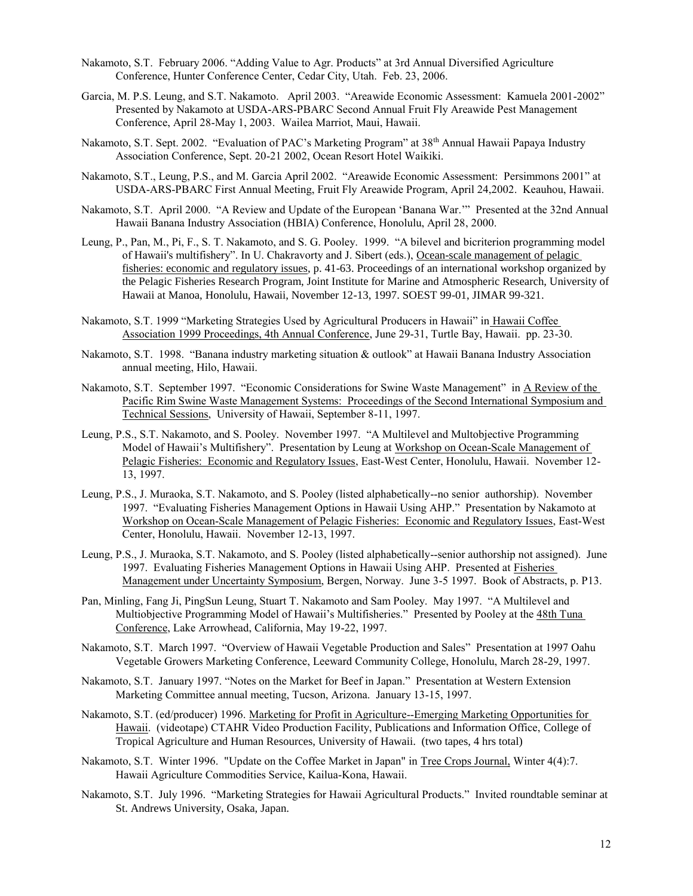- Nakamoto, S.T. February 2006. "Adding Value to Agr. Products" at 3rd Annual Diversified Agriculture Conference, Hunter Conference Center, Cedar City, Utah. Feb. 23, 2006.
- Garcia, M. P.S. Leung, and S.T. Nakamoto. April 2003. "Areawide Economic Assessment: Kamuela 2001-2002" Presented by Nakamoto at USDA-ARS-PBARC Second Annual Fruit Fly Areawide Pest Management Conference, April 28-May 1, 2003. Wailea Marriot, Maui, Hawaii.
- Nakamoto, S.T. Sept. 2002. "Evaluation of PAC's Marketing Program" at 38<sup>th</sup> Annual Hawaii Papaya Industry Association Conference, Sept. 20-21 2002, Ocean Resort Hotel Waikiki.
- Nakamoto, S.T., Leung, P.S., and M. Garcia April 2002. "Areawide Economic Assessment: Persimmons 2001" at USDA-ARS-PBARC First Annual Meeting, Fruit Fly Areawide Program, April 24,2002. Keauhou, Hawaii.
- Nakamoto, S.T. April 2000. "A Review and Update of the European 'Banana War.'" Presented at the 32nd Annual Hawaii Banana Industry Association (HBIA) Conference, Honolulu, April 28, 2000.
- Leung, P., Pan, M., Pi, F., S. T. Nakamoto, and S. G. Pooley. 1999. "A bilevel and bicriterion programming model of Hawaii's multifishery". In U. Chakravorty and J. Sibert (eds.), Ocean-scale management of pelagic fisheries: economic and regulatory issues, p. 41-63. Proceedings of an international workshop organized by the Pelagic Fisheries Research Program, Joint Institute for Marine and Atmospheric Research, University of Hawaii at Manoa, Honolulu, Hawaii, November 12-13, 1997. SOEST 99-01, JIMAR 99-321.
- Nakamoto, S.T. 1999 "Marketing Strategies Used by Agricultural Producers in Hawaii" in Hawaii Coffee Association 1999 Proceedings, 4th Annual Conference, June 29-31, Turtle Bay, Hawaii. pp. 23-30.
- Nakamoto, S.T. 1998. "Banana industry marketing situation & outlook" at Hawaii Banana Industry Association annual meeting, Hilo, Hawaii.
- Nakamoto, S.T. September 1997. "Economic Considerations for Swine Waste Management" in A Review of the Pacific Rim Swine Waste Management Systems: Proceedings of the Second International Symposium and Technical Sessions, University of Hawaii, September 8-11, 1997.
- Leung, P.S., S.T. Nakamoto, and S. Pooley. November 1997. "A Multilevel and Multobjective Programming Model of Hawaii's Multifishery". Presentation by Leung at Workshop on Ocean-Scale Management of Pelagic Fisheries: Economic and Regulatory Issues, East-West Center, Honolulu, Hawaii. November 12- 13, 1997.
- Leung, P.S., J. Muraoka, S.T. Nakamoto, and S. Pooley (listed alphabetically--no senior authorship). November 1997. "Evaluating Fisheries Management Options in Hawaii Using AHP." Presentation by Nakamoto at Workshop on Ocean-Scale Management of Pelagic Fisheries: Economic and Regulatory Issues, East-West Center, Honolulu, Hawaii. November 12-13, 1997.
- Leung, P.S., J. Muraoka, S.T. Nakamoto, and S. Pooley (listed alphabetically--senior authorship not assigned). June 1997. Evaluating Fisheries Management Options in Hawaii Using AHP. Presented at Fisheries Management under Uncertainty Symposium, Bergen, Norway. June 3-5 1997. Book of Abstracts, p. P13.
- Pan, Minling, Fang Ji, PingSun Leung, Stuart T. Nakamoto and Sam Pooley. May 1997. "A Multilevel and Multiobjective Programming Model of Hawaii's Multifisheries." Presented by Pooley at the 48th Tuna Conference, Lake Arrowhead, California, May 19-22, 1997.
- Nakamoto, S.T. March 1997. "Overview of Hawaii Vegetable Production and Sales" Presentation at 1997 Oahu Vegetable Growers Marketing Conference, Leeward Community College, Honolulu, March 28-29, 1997.
- Nakamoto, S.T. January 1997. "Notes on the Market for Beef in Japan." Presentation at Western Extension Marketing Committee annual meeting, Tucson, Arizona. January 13-15, 1997.
- Nakamoto, S.T. (ed/producer) 1996. Marketing for Profit in Agriculture--Emerging Marketing Opportunities for Hawaii. (videotape) CTAHR Video Production Facility, Publications and Information Office, College of Tropical Agriculture and Human Resources, University of Hawaii. (two tapes, 4 hrs total)
- Nakamoto, S.T. Winter 1996. "Update on the Coffee Market in Japan" in Tree Crops Journal, Winter 4(4):7. Hawaii Agriculture Commodities Service, Kailua-Kona, Hawaii.
- Nakamoto, S.T. July 1996. "Marketing Strategies for Hawaii Agricultural Products." Invited roundtable seminar at St. Andrews University, Osaka, Japan.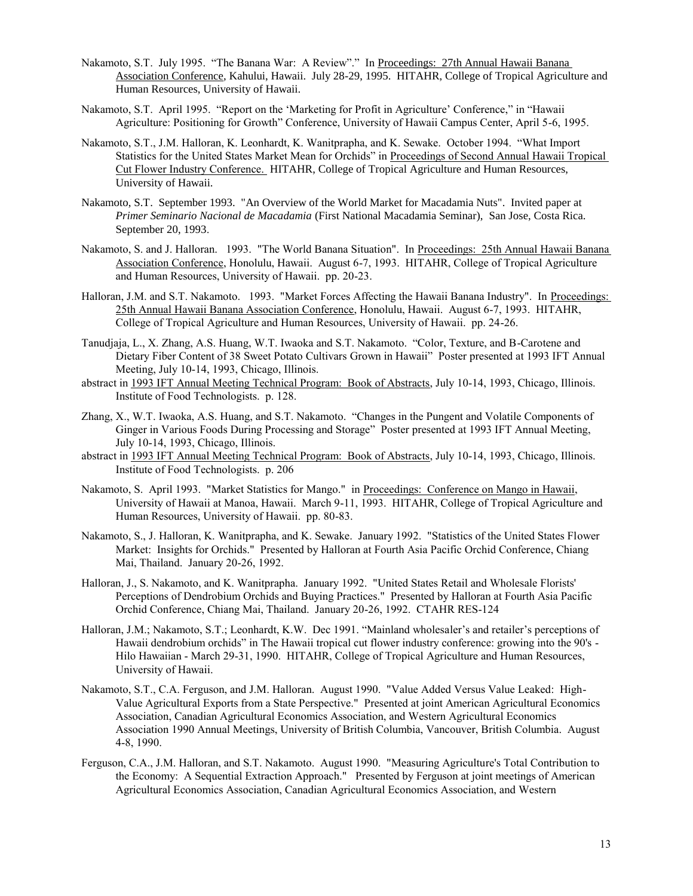- Nakamoto, S.T. July 1995. "The Banana War: A Review"." In Proceedings: 27th Annual Hawaii Banana Association Conference, Kahului, Hawaii. July 28-29, 1995. HITAHR, College of Tropical Agriculture and Human Resources, University of Hawaii.
- Nakamoto, S.T. April 1995. "Report on the 'Marketing for Profit in Agriculture' Conference," in "Hawaii Agriculture: Positioning for Growth" Conference, University of Hawaii Campus Center, April 5-6, 1995.
- Nakamoto, S.T., J.M. Halloran, K. Leonhardt, K. Wanitprapha, and K. Sewake. October 1994. "What Import Statistics for the United States Market Mean for Orchids" in Proceedings of Second Annual Hawaii Tropical Cut Flower Industry Conference. HITAHR, College of Tropical Agriculture and Human Resources, University of Hawaii.
- Nakamoto, S.T. September 1993. "An Overview of the World Market for Macadamia Nuts". Invited paper at *Primer Seminario Nacional de Macadamia* (First National Macadamia Seminar), San Jose, Costa Rica. September 20, 1993.
- Nakamoto, S. and J. Halloran. 1993. "The World Banana Situation". In Proceedings: 25th Annual Hawaii Banana Association Conference, Honolulu, Hawaii. August 6-7, 1993. HITAHR, College of Tropical Agriculture and Human Resources, University of Hawaii. pp. 20-23.
- Halloran, J.M. and S.T. Nakamoto. 1993. "Market Forces Affecting the Hawaii Banana Industry". In Proceedings: 25th Annual Hawaii Banana Association Conference, Honolulu, Hawaii. August 6-7, 1993. HITAHR, College of Tropical Agriculture and Human Resources, University of Hawaii. pp. 24-26.
- Tanudjaja, L., X. Zhang, A.S. Huang, W.T. Iwaoka and S.T. Nakamoto. "Color, Texture, and B-Carotene and Dietary Fiber Content of 38 Sweet Potato Cultivars Grown in Hawaii" Poster presented at 1993 IFT Annual Meeting, July 10-14, 1993, Chicago, Illinois.
- abstract in 1993 IFT Annual Meeting Technical Program: Book of Abstracts, July 10-14, 1993, Chicago, Illinois. Institute of Food Technologists. p. 128.
- Zhang, X., W.T. Iwaoka, A.S. Huang, and S.T. Nakamoto. "Changes in the Pungent and Volatile Components of Ginger in Various Foods During Processing and Storage" Poster presented at 1993 IFT Annual Meeting, July 10-14, 1993, Chicago, Illinois.
- abstract in 1993 IFT Annual Meeting Technical Program: Book of Abstracts, July 10-14, 1993, Chicago, Illinois. Institute of Food Technologists. p. 206
- Nakamoto, S. April 1993. "Market Statistics for Mango." in Proceedings: Conference on Mango in Hawaii, University of Hawaii at Manoa, Hawaii. March 9-11, 1993. HITAHR, College of Tropical Agriculture and Human Resources, University of Hawaii. pp. 80-83.
- Nakamoto, S., J. Halloran, K. Wanitprapha, and K. Sewake. January 1992. "Statistics of the United States Flower Market: Insights for Orchids." Presented by Halloran at Fourth Asia Pacific Orchid Conference, Chiang Mai, Thailand. January 20-26, 1992.
- Halloran, J., S. Nakamoto, and K. Wanitprapha. January 1992. "United States Retail and Wholesale Florists' Perceptions of Dendrobium Orchids and Buying Practices." Presented by Halloran at Fourth Asia Pacific Orchid Conference, Chiang Mai, Thailand. January 20-26, 1992. CTAHR RES-124
- Halloran, J.M.; Nakamoto, S.T.; Leonhardt, K.W. Dec 1991. "Mainland wholesaler's and retailer's perceptions of Hawaii dendrobium orchids" in The Hawaii tropical cut flower industry conference: growing into the 90's - Hilo Hawaiian - March 29-31, 1990. HITAHR, College of Tropical Agriculture and Human Resources, University of Hawaii.
- Nakamoto, S.T., C.A. Ferguson, and J.M. Halloran. August 1990. "Value Added Versus Value Leaked: High-Value Agricultural Exports from a State Perspective." Presented at joint American Agricultural Economics Association, Canadian Agricultural Economics Association, and Western Agricultural Economics Association 1990 Annual Meetings, University of British Columbia, Vancouver, British Columbia. August 4-8, 1990.
- Ferguson, C.A., J.M. Halloran, and S.T. Nakamoto. August 1990. "Measuring Agriculture's Total Contribution to the Economy: A Sequential Extraction Approach." Presented by Ferguson at joint meetings of American Agricultural Economics Association, Canadian Agricultural Economics Association, and Western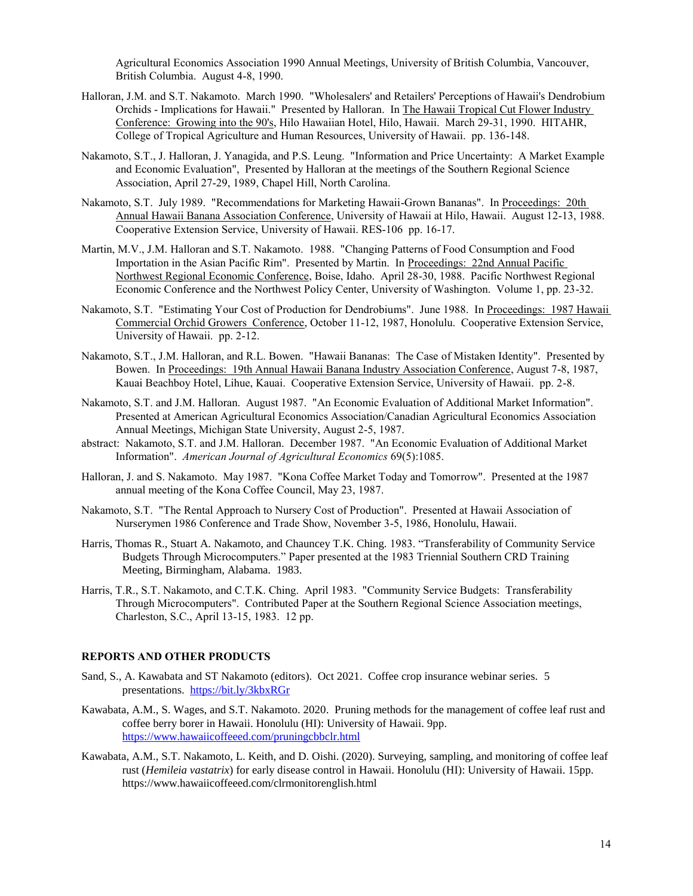Agricultural Economics Association 1990 Annual Meetings, University of British Columbia, Vancouver, British Columbia. August 4-8, 1990.

- Halloran, J.M. and S.T. Nakamoto. March 1990. "Wholesalers' and Retailers' Perceptions of Hawaii's Dendrobium Orchids - Implications for Hawaii." Presented by Halloran. In The Hawaii Tropical Cut Flower Industry Conference: Growing into the 90's, Hilo Hawaiian Hotel, Hilo, Hawaii. March 29-31, 1990. HITAHR, College of Tropical Agriculture and Human Resources, University of Hawaii. pp. 136-148.
- Nakamoto, S.T., J. Halloran, J. Yanagida, and P.S. Leung. "Information and Price Uncertainty: A Market Example and Economic Evaluation", Presented by Halloran at the meetings of the Southern Regional Science Association, April 27-29, 1989, Chapel Hill, North Carolina.
- Nakamoto, S.T. July 1989. "Recommendations for Marketing Hawaii-Grown Bananas". In Proceedings: 20th Annual Hawaii Banana Association Conference, University of Hawaii at Hilo, Hawaii. August 12-13, 1988. Cooperative Extension Service, University of Hawaii. RES-106 pp. 16-17.
- Martin, M.V., J.M. Halloran and S.T. Nakamoto. 1988. "Changing Patterns of Food Consumption and Food Importation in the Asian Pacific Rim". Presented by Martin. In Proceedings: 22nd Annual Pacific Northwest Regional Economic Conference, Boise, Idaho. April 28-30, 1988. Pacific Northwest Regional Economic Conference and the Northwest Policy Center, University of Washington. Volume 1, pp. 23-32.
- Nakamoto, S.T. "Estimating Your Cost of Production for Dendrobiums". June 1988. In Proceedings: 1987 Hawaii Commercial Orchid Growers Conference, October 11-12, 1987, Honolulu. Cooperative Extension Service, University of Hawaii. pp. 2-12.
- Nakamoto, S.T., J.M. Halloran, and R.L. Bowen. "Hawaii Bananas: The Case of Mistaken Identity". Presented by Bowen. In Proceedings: 19th Annual Hawaii Banana Industry Association Conference, August 7-8, 1987, Kauai Beachboy Hotel, Lihue, Kauai. Cooperative Extension Service, University of Hawaii. pp. 2-8.
- Nakamoto, S.T. and J.M. Halloran. August 1987. "An Economic Evaluation of Additional Market Information". Presented at American Agricultural Economics Association/Canadian Agricultural Economics Association Annual Meetings, Michigan State University, August 2-5, 1987.
- abstract: Nakamoto, S.T. and J.M. Halloran. December 1987. "An Economic Evaluation of Additional Market Information". *American Journal of Agricultural Economics* 69(5):1085.
- Halloran, J. and S. Nakamoto. May 1987. "Kona Coffee Market Today and Tomorrow". Presented at the 1987 annual meeting of the Kona Coffee Council, May 23, 1987.
- Nakamoto, S.T. "The Rental Approach to Nursery Cost of Production". Presented at Hawaii Association of Nurserymen 1986 Conference and Trade Show, November 3-5, 1986, Honolulu, Hawaii.
- Harris, Thomas R., Stuart A. Nakamoto, and Chauncey T.K. Ching. 1983. "Transferability of Community Service Budgets Through Microcomputers." Paper presented at the 1983 Triennial Southern CRD Training Meeting, Birmingham, Alabama. 1983.
- Harris, T.R., S.T. Nakamoto, and C.T.K. Ching. April 1983. "Community Service Budgets: Transferability Through Microcomputers". Contributed Paper at the Southern Regional Science Association meetings, Charleston, S.C., April 13-15, 1983. 12 pp.

#### **REPORTS AND OTHER PRODUCTS**

- Sand, S., A. Kawabata and ST Nakamoto (editors). Oct 2021. Coffee crop insurance webinar series. 5 presentations. <https://bit.ly/3kbxRGr>
- Kawabata, A.M., S. Wages, and S.T. Nakamoto. 2020. Pruning methods for the management of coffee leaf rust and coffee berry borer in Hawaii. Honolulu (HI): University of Hawaii. 9pp. <https://www.hawaiicoffeeed.com/pruningcbbclr.html>
- Kawabata, A.M., S.T. Nakamoto, L. Keith, and D. Oishi. (2020). Surveying, sampling, and monitoring of coffee leaf rust (*Hemileia vastatrix*) for early disease control in Hawaii. Honolulu (HI): University of Hawaii. 15pp. https://www.hawaiicoffeeed.com/clrmonitorenglish.html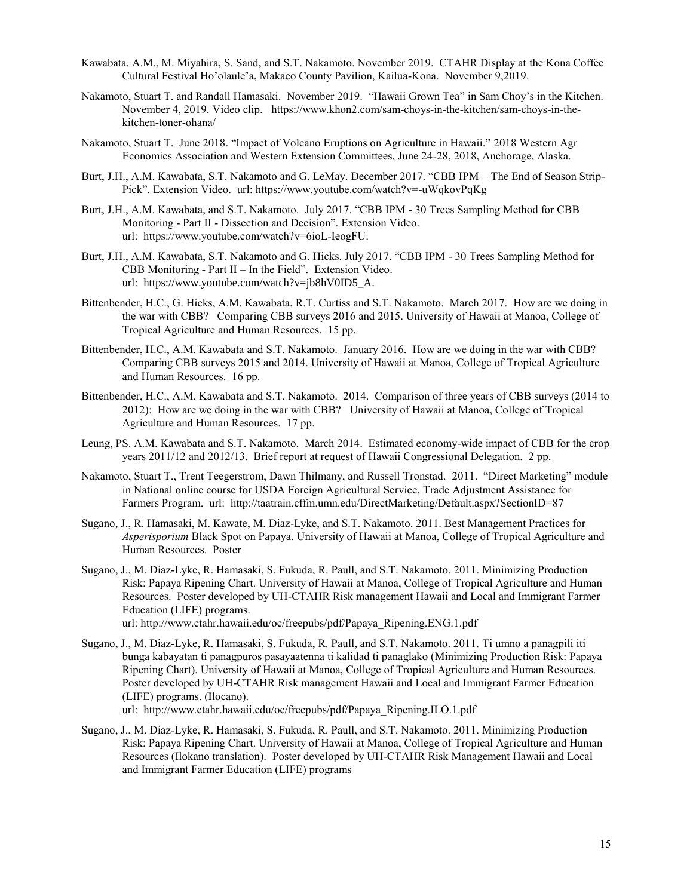- Kawabata. A.M., M. Miyahira, S. Sand, and S.T. Nakamoto. November 2019. CTAHR Display at the Kona Coffee Cultural Festival Ho'olaule'a, Makaeo County Pavilion, Kailua-Kona. November 9,2019.
- Nakamoto, Stuart T. and Randall Hamasaki. November 2019. "Hawaii Grown Tea" in Sam Choy's in the Kitchen. November 4, 2019. Video clip. https://www.khon2.com/sam-choys-in-the-kitchen/sam-choys-in-thekitchen-toner-ohana/
- Nakamoto, Stuart T. June 2018. "Impact of Volcano Eruptions on Agriculture in Hawaii." 2018 Western Agr Economics Association and Western Extension Committees, June 24-28, 2018, Anchorage, Alaska.
- Burt, J.H., A.M. Kawabata, S.T. Nakamoto and G. LeMay. December 2017. "CBB IPM The End of Season Strip-Pick". Extension Video. url: https://www.youtube.com/watch?v=-uWqkovPqKg
- Burt, J.H., A.M. Kawabata, and S.T. Nakamoto. July 2017. "CBB IPM 30 Trees Sampling Method for CBB Monitoring - Part II - Dissection and Decision". Extension Video. url: https://www.youtube.com/watch?v=6ioL-IeogFU.
- Burt, J.H., A.M. Kawabata, S.T. Nakamoto and G. Hicks. July 2017. "CBB IPM 30 Trees Sampling Method for CBB Monitoring - Part II – In the Field". Extension Video. url: https://www.youtube.com/watch?v=jb8hV0ID5\_A.
- Bittenbender, H.C., G. Hicks, A.M. Kawabata, R.T. Curtiss and S.T. Nakamoto. March 2017. How are we doing in the war with CBB? Comparing CBB surveys 2016 and 2015. University of Hawaii at Manoa, College of Tropical Agriculture and Human Resources. 15 pp.
- Bittenbender, H.C., A.M. Kawabata and S.T. Nakamoto. January 2016. How are we doing in the war with CBB? Comparing CBB surveys 2015 and 2014. University of Hawaii at Manoa, College of Tropical Agriculture and Human Resources. 16 pp.
- Bittenbender, H.C., A.M. Kawabata and S.T. Nakamoto. 2014. Comparison of three years of CBB surveys (2014 to 2012): How are we doing in the war with CBB? University of Hawaii at Manoa, College of Tropical Agriculture and Human Resources. 17 pp.
- Leung, PS. A.M. Kawabata and S.T. Nakamoto. March 2014. Estimated economy-wide impact of CBB for the crop years 2011/12 and 2012/13. Brief report at request of Hawaii Congressional Delegation. 2 pp.
- Nakamoto, Stuart T., Trent Teegerstrom, Dawn Thilmany, and Russell Tronstad. 2011. "Direct Marketing" module in National online course for USDA Foreign Agricultural Service, Trade Adjustment Assistance for Farmers Program. url: http://taatrain.cffm.umn.edu/DirectMarketing/Default.aspx?SectionID=87
- Sugano, J., R. Hamasaki, M. Kawate, M. Diaz-Lyke, and S.T. Nakamoto. 2011. Best Management Practices for *Asperisporium* Black Spot on Papaya. University of Hawaii at Manoa, College of Tropical Agriculture and Human Resources. Poster
- Sugano, J., M. Diaz-Lyke, R. Hamasaki, S. Fukuda, R. Paull, and S.T. Nakamoto. 2011. Minimizing Production Risk: Papaya Ripening Chart. University of Hawaii at Manoa, College of Tropical Agriculture and Human Resources. Poster developed by UH-CTAHR Risk management Hawaii and Local and Immigrant Farmer Education (LIFE) programs.

url: http://www.ctahr.hawaii.edu/oc/freepubs/pdf/Papaya\_Ripening.ENG.1.pdf

- Sugano, J., M. Diaz-Lyke, R. Hamasaki, S. Fukuda, R. Paull, and S.T. Nakamoto. 2011. Ti umno a panagpili iti bunga kabayatan ti panagpuros pasayaatenna ti kalidad ti panaglako (Minimizing Production Risk: Papaya Ripening Chart). University of Hawaii at Manoa, College of Tropical Agriculture and Human Resources. Poster developed by UH-CTAHR Risk management Hawaii and Local and Immigrant Farmer Education (LIFE) programs. (Ilocano). url: http://www.ctahr.hawaii.edu/oc/freepubs/pdf/Papaya\_Ripening.ILO.1.pdf
- Sugano, J., M. Diaz-Lyke, R. Hamasaki, S. Fukuda, R. Paull, and S.T. Nakamoto. 2011. Minimizing Production Risk: Papaya Ripening Chart. University of Hawaii at Manoa, College of Tropical Agriculture and Human Resources (Ilokano translation). Poster developed by UH-CTAHR Risk Management Hawaii and Local and Immigrant Farmer Education (LIFE) programs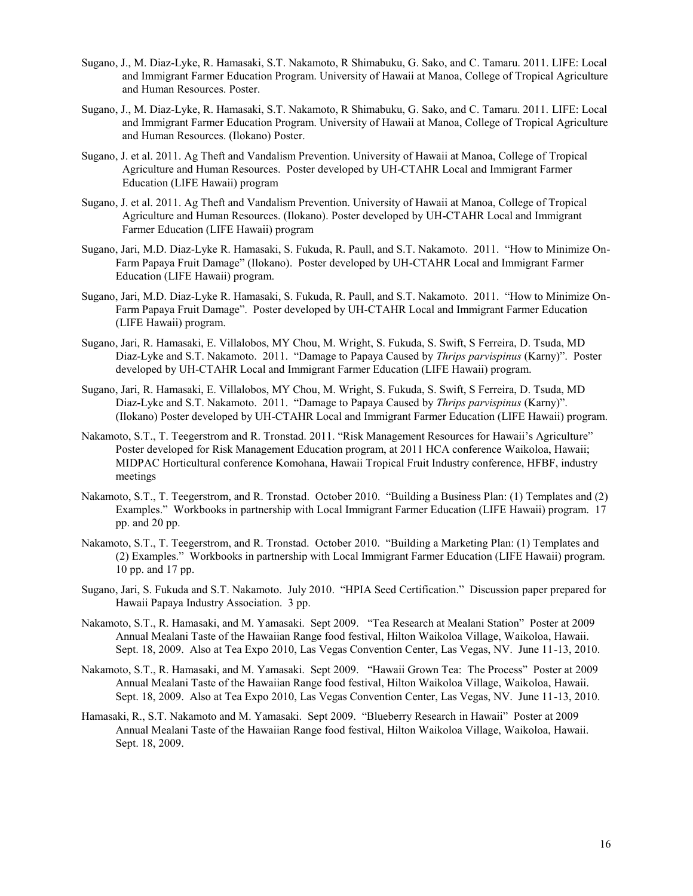- Sugano, J., M. Diaz-Lyke, R. Hamasaki, S.T. Nakamoto, R Shimabuku, G. Sako, and C. Tamaru. 2011. LIFE: Local and Immigrant Farmer Education Program. University of Hawaii at Manoa, College of Tropical Agriculture and Human Resources. Poster.
- Sugano, J., M. Diaz-Lyke, R. Hamasaki, S.T. Nakamoto, R Shimabuku, G. Sako, and C. Tamaru. 2011. LIFE: Local and Immigrant Farmer Education Program. University of Hawaii at Manoa, College of Tropical Agriculture and Human Resources. (Ilokano) Poster.
- Sugano, J. et al. 2011. Ag Theft and Vandalism Prevention. University of Hawaii at Manoa, College of Tropical Agriculture and Human Resources. Poster developed by UH-CTAHR Local and Immigrant Farmer Education (LIFE Hawaii) program
- Sugano, J. et al. 2011. Ag Theft and Vandalism Prevention. University of Hawaii at Manoa, College of Tropical Agriculture and Human Resources. (Ilokano). Poster developed by UH-CTAHR Local and Immigrant Farmer Education (LIFE Hawaii) program
- Sugano, Jari, M.D. Diaz-Lyke R. Hamasaki, S. Fukuda, R. Paull, and S.T. Nakamoto. 2011. "How to Minimize On-Farm Papaya Fruit Damage" (Ilokano). Poster developed by UH-CTAHR Local and Immigrant Farmer Education (LIFE Hawaii) program.
- Sugano, Jari, M.D. Diaz-Lyke R. Hamasaki, S. Fukuda, R. Paull, and S.T. Nakamoto. 2011. "How to Minimize On-Farm Papaya Fruit Damage". Poster developed by UH-CTAHR Local and Immigrant Farmer Education (LIFE Hawaii) program.
- Sugano, Jari, R. Hamasaki, E. Villalobos, MY Chou, M. Wright, S. Fukuda, S. Swift, S Ferreira, D. Tsuda, MD Diaz-Lyke and S.T. Nakamoto. 2011. "Damage to Papaya Caused by *Thrips parvispinus* (Karny)". Poster developed by UH-CTAHR Local and Immigrant Farmer Education (LIFE Hawaii) program.
- Sugano, Jari, R. Hamasaki, E. Villalobos, MY Chou, M. Wright, S. Fukuda, S. Swift, S Ferreira, D. Tsuda, MD Diaz-Lyke and S.T. Nakamoto. 2011. "Damage to Papaya Caused by *Thrips parvispinus* (Karny)". (Ilokano) Poster developed by UH-CTAHR Local and Immigrant Farmer Education (LIFE Hawaii) program.
- Nakamoto, S.T., T. Teegerstrom and R. Tronstad. 2011. "Risk Management Resources for Hawaii's Agriculture" Poster developed for Risk Management Education program, at 2011 HCA conference Waikoloa, Hawaii; MIDPAC Horticultural conference Komohana, Hawaii Tropical Fruit Industry conference, HFBF, industry meetings
- Nakamoto, S.T., T. Teegerstrom, and R. Tronstad. October 2010. "Building a Business Plan: (1) Templates and (2) Examples." Workbooks in partnership with Local Immigrant Farmer Education (LIFE Hawaii) program. 17 pp. and 20 pp.
- Nakamoto, S.T., T. Teegerstrom, and R. Tronstad. October 2010. "Building a Marketing Plan: (1) Templates and (2) Examples." Workbooks in partnership with Local Immigrant Farmer Education (LIFE Hawaii) program. 10 pp. and 17 pp.
- Sugano, Jari, S. Fukuda and S.T. Nakamoto. July 2010. "HPIA Seed Certification." Discussion paper prepared for Hawaii Papaya Industry Association. 3 pp.
- Nakamoto, S.T., R. Hamasaki, and M. Yamasaki. Sept 2009. "Tea Research at Mealani Station" Poster at 2009 Annual Mealani Taste of the Hawaiian Range food festival, Hilton Waikoloa Village, Waikoloa, Hawaii. Sept. 18, 2009. Also at Tea Expo 2010, Las Vegas Convention Center, Las Vegas, NV. June 11-13, 2010.
- Nakamoto, S.T., R. Hamasaki, and M. Yamasaki. Sept 2009. "Hawaii Grown Tea: The Process" Poster at 2009 Annual Mealani Taste of the Hawaiian Range food festival, Hilton Waikoloa Village, Waikoloa, Hawaii. Sept. 18, 2009. Also at Tea Expo 2010, Las Vegas Convention Center, Las Vegas, NV. June 11-13, 2010.
- Hamasaki, R., S.T. Nakamoto and M. Yamasaki. Sept 2009. "Blueberry Research in Hawaii" Poster at 2009 Annual Mealani Taste of the Hawaiian Range food festival, Hilton Waikoloa Village, Waikoloa, Hawaii. Sept. 18, 2009.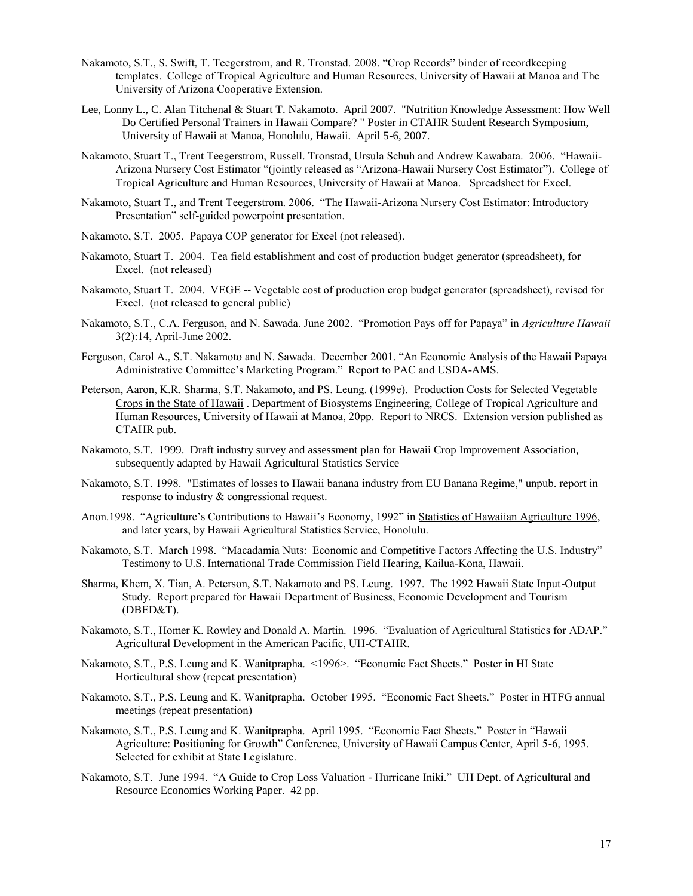- Nakamoto, S.T., S. Swift, T. Teegerstrom, and R. Tronstad. 2008. "Crop Records" binder of recordkeeping templates. College of Tropical Agriculture and Human Resources, University of Hawaii at Manoa and The University of Arizona Cooperative Extension.
- Lee, Lonny L., C. Alan Titchenal & Stuart T. Nakamoto. April 2007. "Nutrition Knowledge Assessment: How Well Do Certified Personal Trainers in Hawaii Compare? " Poster in CTAHR Student Research Symposium, University of Hawaii at Manoa, Honolulu, Hawaii. April 5-6, 2007.
- Nakamoto, Stuart T., Trent Teegerstrom, Russell. Tronstad, Ursula Schuh and Andrew Kawabata. 2006. "Hawaii-Arizona Nursery Cost Estimator "(jointly released as "Arizona-Hawaii Nursery Cost Estimator"). College of Tropical Agriculture and Human Resources, University of Hawaii at Manoa. Spreadsheet for Excel.
- Nakamoto, Stuart T., and Trent Teegerstrom. 2006. "The Hawaii-Arizona Nursery Cost Estimator: Introductory Presentation" self-guided powerpoint presentation.
- Nakamoto, S.T. 2005. Papaya COP generator for Excel (not released).
- Nakamoto, Stuart T. 2004. Tea field establishment and cost of production budget generator (spreadsheet), for Excel. (not released)
- Nakamoto, Stuart T. 2004. VEGE -- Vegetable cost of production crop budget generator (spreadsheet), revised for Excel. (not released to general public)
- Nakamoto, S.T., C.A. Ferguson, and N. Sawada. June 2002. "Promotion Pays off for Papaya" in *Agriculture Hawaii* 3(2):14, April-June 2002.
- Ferguson, Carol A., S.T. Nakamoto and N. Sawada. December 2001. "An Economic Analysis of the Hawaii Papaya Administrative Committee's Marketing Program." Report to PAC and USDA-AMS.
- Peterson, Aaron, K.R. Sharma, S.T. Nakamoto, and PS. Leung. (1999e). Production Costs for Selected Vegetable Crops in the State of Hawaii . Department of Biosystems Engineering, College of Tropical Agriculture and Human Resources, University of Hawaii at Manoa, 20pp. Report to NRCS. Extension version published as CTAHR pub.
- Nakamoto, S.T. 1999. Draft industry survey and assessment plan for Hawaii Crop Improvement Association, subsequently adapted by Hawaii Agricultural Statistics Service
- Nakamoto, S.T. 1998. "Estimates of losses to Hawaii banana industry from EU Banana Regime," unpub. report in response to industry & congressional request.
- Anon.1998. "Agriculture's Contributions to Hawaii's Economy, 1992" in Statistics of Hawaiian Agriculture 1996, and later years, by Hawaii Agricultural Statistics Service, Honolulu.
- Nakamoto, S.T. March 1998. "Macadamia Nuts: Economic and Competitive Factors Affecting the U.S. Industry" Testimony to U.S. International Trade Commission Field Hearing, Kailua-Kona, Hawaii.
- Sharma, Khem, X. Tian, A. Peterson, S.T. Nakamoto and PS. Leung. 1997. The 1992 Hawaii State Input-Output Study. Report prepared for Hawaii Department of Business, Economic Development and Tourism (DBED&T).
- Nakamoto, S.T., Homer K. Rowley and Donald A. Martin. 1996. "Evaluation of Agricultural Statistics for ADAP." Agricultural Development in the American Pacific, UH-CTAHR.
- Nakamoto, S.T., P.S. Leung and K. Wanitprapha. <1996>. "Economic Fact Sheets." Poster in HI State Horticultural show (repeat presentation)
- Nakamoto, S.T., P.S. Leung and K. Wanitprapha. October 1995. "Economic Fact Sheets." Poster in HTFG annual meetings (repeat presentation)
- Nakamoto, S.T., P.S. Leung and K. Wanitprapha. April 1995. "Economic Fact Sheets." Poster in "Hawaii Agriculture: Positioning for Growth" Conference, University of Hawaii Campus Center, April 5-6, 1995. Selected for exhibit at State Legislature.
- Nakamoto, S.T. June 1994. "A Guide to Crop Loss Valuation Hurricane Iniki." UH Dept. of Agricultural and Resource Economics Working Paper. 42 pp.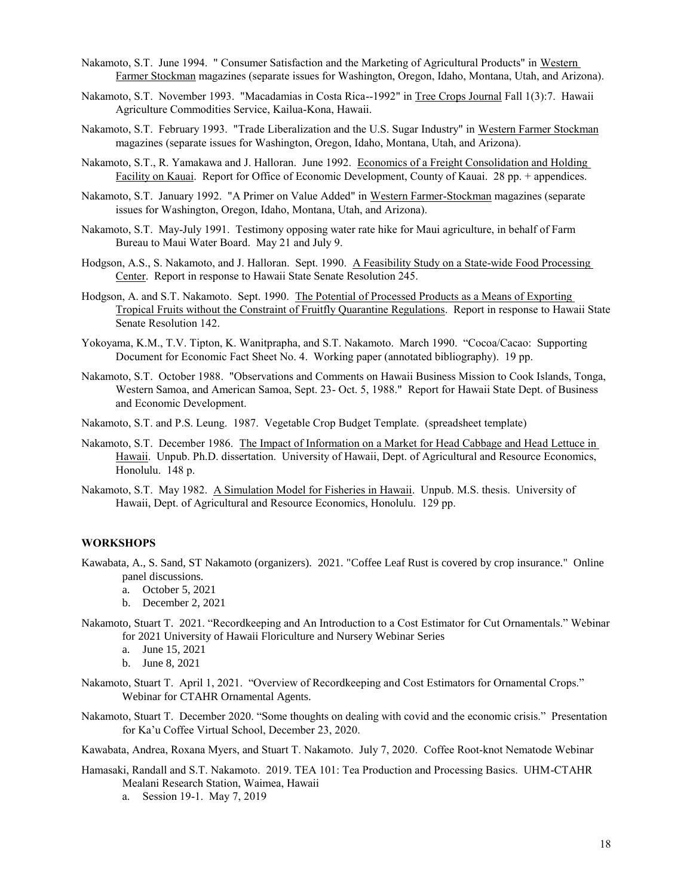- Nakamoto, S.T. June 1994. " Consumer Satisfaction and the Marketing of Agricultural Products" in Western Farmer Stockman magazines (separate issues for Washington, Oregon, Idaho, Montana, Utah, and Arizona).
- Nakamoto, S.T. November 1993. "Macadamias in Costa Rica--1992" in Tree Crops Journal Fall 1(3):7. Hawaii Agriculture Commodities Service, Kailua-Kona, Hawaii.
- Nakamoto, S.T. February 1993. "Trade Liberalization and the U.S. Sugar Industry" in Western Farmer Stockman magazines (separate issues for Washington, Oregon, Idaho, Montana, Utah, and Arizona).
- Nakamoto, S.T., R. Yamakawa and J. Halloran. June 1992. Economics of a Freight Consolidation and Holding Facility on Kauai. Report for Office of Economic Development, County of Kauai. 28 pp. + appendices.
- Nakamoto, S.T. January 1992. "A Primer on Value Added" in Western Farmer-Stockman magazines (separate issues for Washington, Oregon, Idaho, Montana, Utah, and Arizona).
- Nakamoto, S.T. May-July 1991. Testimony opposing water rate hike for Maui agriculture, in behalf of Farm Bureau to Maui Water Board. May 21 and July 9.
- Hodgson, A.S., S. Nakamoto, and J. Halloran. Sept. 1990. A Feasibility Study on a State-wide Food Processing Center. Report in response to Hawaii State Senate Resolution 245.
- Hodgson, A. and S.T. Nakamoto. Sept. 1990. The Potential of Processed Products as a Means of Exporting Tropical Fruits without the Constraint of Fruitfly Quarantine Regulations. Report in response to Hawaii State Senate Resolution 142.
- Yokoyama, K.M., T.V. Tipton, K. Wanitprapha, and S.T. Nakamoto. March 1990. "Cocoa/Cacao: Supporting Document for Economic Fact Sheet No. 4. Working paper (annotated bibliography). 19 pp.
- Nakamoto, S.T. October 1988. "Observations and Comments on Hawaii Business Mission to Cook Islands, Tonga, Western Samoa, and American Samoa, Sept. 23- Oct. 5, 1988." Report for Hawaii State Dept. of Business and Economic Development.
- Nakamoto, S.T. and P.S. Leung. 1987. Vegetable Crop Budget Template. (spreadsheet template)
- Nakamoto, S.T. December 1986. The Impact of Information on a Market for Head Cabbage and Head Lettuce in Hawaii. Unpub. Ph.D. dissertation. University of Hawaii, Dept. of Agricultural and Resource Economics, Honolulu. 148 p.
- Nakamoto, S.T. May 1982. A Simulation Model for Fisheries in Hawaii. Unpub. M.S. thesis. University of Hawaii, Dept. of Agricultural and Resource Economics, Honolulu. 129 pp.

#### **WORKSHOPS**

- Kawabata, A., S. Sand, ST Nakamoto (organizers). 2021. "Coffee Leaf Rust is covered by crop insurance." Online panel discussions.
	- a. October 5, 2021
	- b. December 2, 2021
- Nakamoto, Stuart T. 2021. "Recordkeeping and An Introduction to a Cost Estimator for Cut Ornamentals." Webinar for 2021 University of Hawaii Floriculture and Nursery Webinar Series
	- a. June 15, 2021
	- b. June 8, 2021
- Nakamoto, Stuart T. April 1, 2021. "Overview of Recordkeeping and Cost Estimators for Ornamental Crops." Webinar for CTAHR Ornamental Agents.
- Nakamoto, Stuart T. December 2020. "Some thoughts on dealing with covid and the economic crisis." Presentation for Ka'u Coffee Virtual School, December 23, 2020.
- Kawabata, Andrea, Roxana Myers, and Stuart T. Nakamoto. July 7, 2020. Coffee Root-knot Nematode Webinar
- Hamasaki, Randall and S.T. Nakamoto. 2019. TEA 101: Tea Production and Processing Basics. UHM-CTAHR Mealani Research Station, Waimea, Hawaii
	- a. Session 19-1. May 7, 2019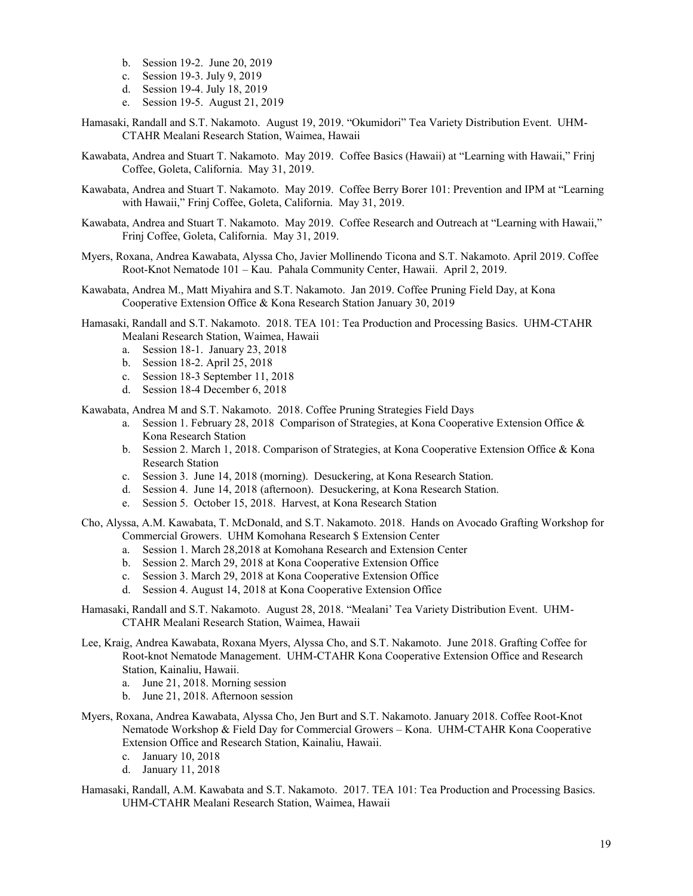- b. Session 19-2. June 20, 2019
- c. Session 19-3. July 9, 2019
- d. Session 19-4. July 18, 2019
- e. Session 19-5. August 21, 2019
- Hamasaki, Randall and S.T. Nakamoto. August 19, 2019. "Okumidori" Tea Variety Distribution Event. UHM-CTAHR Mealani Research Station, Waimea, Hawaii
- Kawabata, Andrea and Stuart T. Nakamoto. May 2019. Coffee Basics (Hawaii) at "Learning with Hawaii," Frinj Coffee, Goleta, California. May 31, 2019.
- Kawabata, Andrea and Stuart T. Nakamoto. May 2019. Coffee Berry Borer 101: Prevention and IPM at "Learning with Hawaii," Frinj Coffee, Goleta, California. May 31, 2019.
- Kawabata, Andrea and Stuart T. Nakamoto. May 2019. Coffee Research and Outreach at "Learning with Hawaii," Frinj Coffee, Goleta, California. May 31, 2019.
- Myers, Roxana, Andrea Kawabata, Alyssa Cho, Javier Mollinendo Ticona and S.T. Nakamoto. April 2019. Coffee Root-Knot Nematode 101 – Kau. Pahala Community Center, Hawaii. April 2, 2019.
- Kawabata, Andrea M., Matt Miyahira and S.T. Nakamoto. Jan 2019. Coffee Pruning Field Day, at Kona Cooperative Extension Office & Kona Research Station January 30, 2019
- Hamasaki, Randall and S.T. Nakamoto. 2018. TEA 101: Tea Production and Processing Basics. UHM-CTAHR Mealani Research Station, Waimea, Hawaii
	- a. Session 18-1. January 23, 2018
	- b. Session 18-2. April 25, 2018
	- c. Session 18-3 September 11, 2018
	- d. Session 18-4 December 6, 2018

Kawabata, Andrea M and S.T. Nakamoto. 2018. Coffee Pruning Strategies Field Days

- a. Session 1. February 28, 2018 Comparison of Strategies, at Kona Cooperative Extension Office & Kona Research Station
- b. Session 2. March 1, 2018. Comparison of Strategies, at Kona Cooperative Extension Office & Kona Research Station
- c. Session 3. June 14, 2018 (morning). Desuckering, at Kona Research Station.
- d. Session 4. June 14, 2018 (afternoon). Desuckering, at Kona Research Station.
- e. Session 5. October 15, 2018. Harvest, at Kona Research Station
- Cho, Alyssa, A.M. Kawabata, T. McDonald, and S.T. Nakamoto. 2018. Hands on Avocado Grafting Workshop for Commercial Growers. UHM Komohana Research \$ Extension Center
	- a. Session 1. March 28,2018 at Komohana Research and Extension Center
	- b. Session 2. March 29, 2018 at Kona Cooperative Extension Office
	- c. Session 3. March 29, 2018 at Kona Cooperative Extension Office
	- d. Session 4. August 14, 2018 at Kona Cooperative Extension Office
- Hamasaki, Randall and S.T. Nakamoto. August 28, 2018. "Mealani' Tea Variety Distribution Event. UHM-CTAHR Mealani Research Station, Waimea, Hawaii
- Lee, Kraig, Andrea Kawabata, Roxana Myers, Alyssa Cho, and S.T. Nakamoto. June 2018. Grafting Coffee for Root-knot Nematode Management. UHM-CTAHR Kona Cooperative Extension Office and Research Station, Kainaliu, Hawaii.
	- a. June 21, 2018. Morning session
	- b. June 21, 2018. Afternoon session
- Myers, Roxana, Andrea Kawabata, Alyssa Cho, Jen Burt and S.T. Nakamoto. January 2018. Coffee Root-Knot Nematode Workshop & Field Day for Commercial Growers – Kona. UHM-CTAHR Kona Cooperative Extension Office and Research Station, Kainaliu, Hawaii.
	- c. January 10, 2018
	- d. January 11, 2018
- Hamasaki, Randall, A.M. Kawabata and S.T. Nakamoto. 2017. TEA 101: Tea Production and Processing Basics. UHM-CTAHR Mealani Research Station, Waimea, Hawaii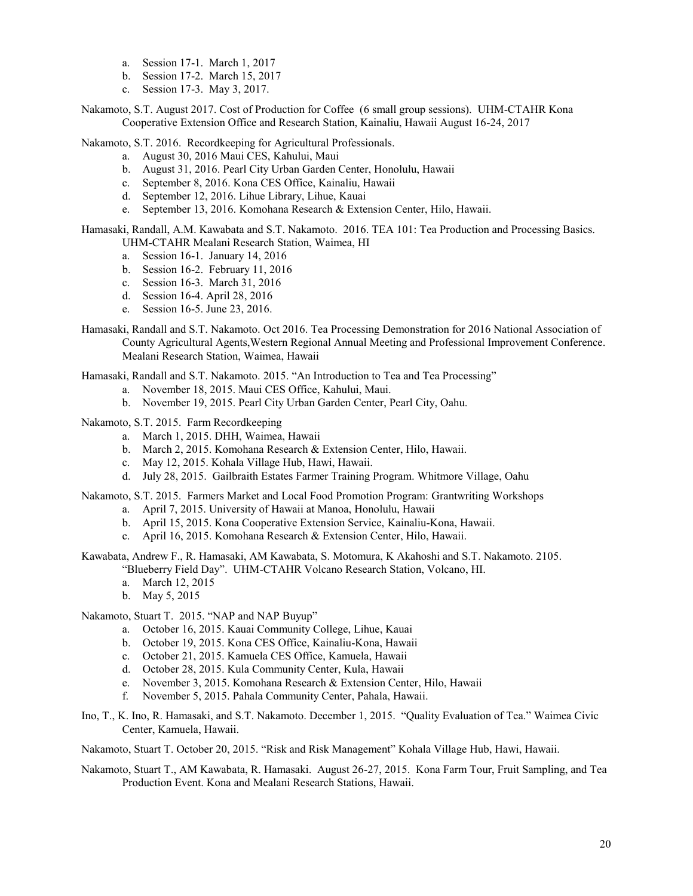- a. Session 17-1. March 1, 2017
- b. Session 17-2. March 15, 2017
- c. Session 17-3. May 3, 2017.

Nakamoto, S.T. August 2017. Cost of Production for Coffee (6 small group sessions). UHM-CTAHR Kona Cooperative Extension Office and Research Station, Kainaliu, Hawaii August 16-24, 2017

Nakamoto, S.T. 2016. Recordkeeping for Agricultural Professionals.

- a. August 30, 2016 Maui CES, Kahului, Maui
- b. August 31, 2016. Pearl City Urban Garden Center, Honolulu, Hawaii
- c. September 8, 2016. Kona CES Office, Kainaliu, Hawaii
- d. September 12, 2016. Lihue Library, Lihue, Kauai
- e. September 13, 2016. Komohana Research & Extension Center, Hilo, Hawaii.

Hamasaki, Randall, A.M. Kawabata and S.T. Nakamoto. 2016. TEA 101: Tea Production and Processing Basics. UHM-CTAHR Mealani Research Station, Waimea, HI

- a. Session 16-1. January 14, 2016
- b. Session 16-2. February 11, 2016
- c. Session 16-3. March 31, 2016
- d. Session 16-4. April 28, 2016
- e. Session 16-5. June 23, 2016.
- Hamasaki, Randall and S.T. Nakamoto. Oct 2016. Tea Processing Demonstration for 2016 National Association of County Agricultural Agents,Western Regional Annual Meeting and Professional Improvement Conference. Mealani Research Station, Waimea, Hawaii

Hamasaki, Randall and S.T. Nakamoto. 2015. "An Introduction to Tea and Tea Processing"

- a. November 18, 2015. Maui CES Office, Kahului, Maui.
- b. November 19, 2015. Pearl City Urban Garden Center, Pearl City, Oahu.

# Nakamoto, S.T. 2015. Farm Recordkeeping

- a. March 1, 2015. DHH, Waimea, Hawaii
- b. March 2, 2015. Komohana Research & Extension Center, Hilo, Hawaii.
- c. May 12, 2015. Kohala Village Hub, Hawi, Hawaii.
- d. July 28, 2015. Gailbraith Estates Farmer Training Program. Whitmore Village, Oahu

Nakamoto, S.T. 2015. Farmers Market and Local Food Promotion Program: Grantwriting Workshops

- a. April 7, 2015. University of Hawaii at Manoa, Honolulu, Hawaii
- b. April 15, 2015. Kona Cooperative Extension Service, Kainaliu-Kona, Hawaii.
- c. April 16, 2015. Komohana Research & Extension Center, Hilo, Hawaii.

Kawabata, Andrew F., R. Hamasaki, AM Kawabata, S. Motomura, K Akahoshi and S.T. Nakamoto. 2105. "Blueberry Field Day". UHM-CTAHR Volcano Research Station, Volcano, HI.

- a. March 12, 2015
- b. May 5, 2015

Nakamoto, Stuart T. 2015. "NAP and NAP Buyup"

- a. October 16, 2015. Kauai Community College, Lihue, Kauai
- b. October 19, 2015. Kona CES Office, Kainaliu-Kona, Hawaii
- c. October 21, 2015. Kamuela CES Office, Kamuela, Hawaii
- d. October 28, 2015. Kula Community Center, Kula, Hawaii
- e. November 3, 2015. Komohana Research & Extension Center, Hilo, Hawaii
- f. November 5, 2015. Pahala Community Center, Pahala, Hawaii.
- Ino, T., K. Ino, R. Hamasaki, and S.T. Nakamoto. December 1, 2015. "Quality Evaluation of Tea." Waimea Civic Center, Kamuela, Hawaii.

Nakamoto, Stuart T. October 20, 2015. "Risk and Risk Management" Kohala Village Hub, Hawi, Hawaii.

Nakamoto, Stuart T., AM Kawabata, R. Hamasaki. August 26-27, 2015. Kona Farm Tour, Fruit Sampling, and Tea Production Event. Kona and Mealani Research Stations, Hawaii.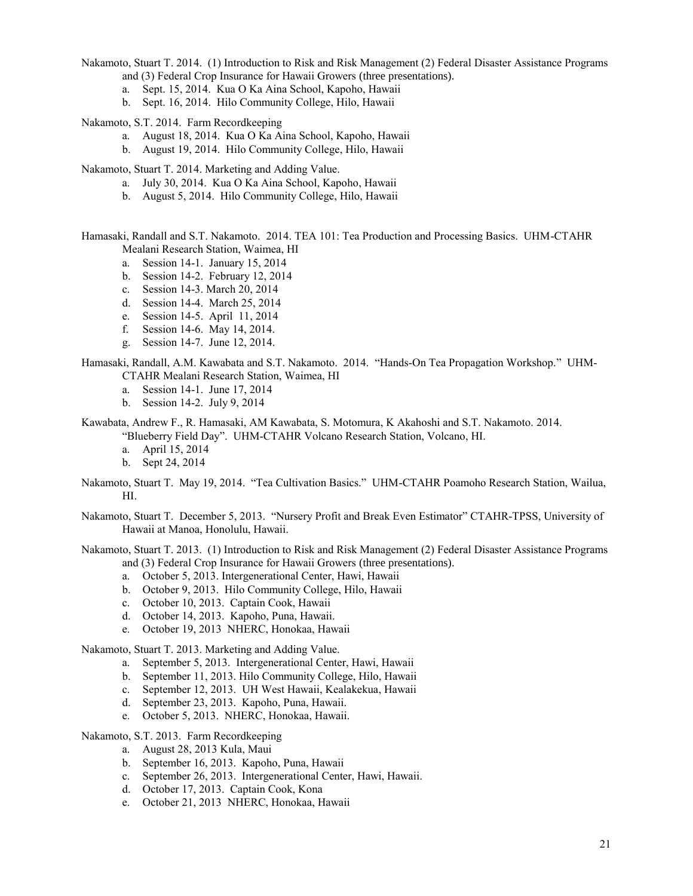Nakamoto, Stuart T. 2014. (1) Introduction to Risk and Risk Management (2) Federal Disaster Assistance Programs and (3) Federal Crop Insurance for Hawaii Growers (three presentations).

- a. Sept. 15, 2014. Kua O Ka Aina School, Kapoho, Hawaii
- b. Sept. 16, 2014. Hilo Community College, Hilo, Hawaii

Nakamoto, S.T. 2014. Farm Recordkeeping

- a. August 18, 2014. Kua O Ka Aina School, Kapoho, Hawaii
- b. August 19, 2014. Hilo Community College, Hilo, Hawaii

Nakamoto, Stuart T. 2014. Marketing and Adding Value.

- a. July 30, 2014. Kua O Ka Aina School, Kapoho, Hawaii
- b. August 5, 2014. Hilo Community College, Hilo, Hawaii

Hamasaki, Randall and S.T. Nakamoto. 2014. TEA 101: Tea Production and Processing Basics. UHM-CTAHR Mealani Research Station, Waimea, HI

- a. Session 14-1. January 15, 2014
- b. Session 14-2. February 12, 2014
- c. Session 14-3. March 20, 2014
- d. Session 14-4. March 25, 2014
- e. Session 14-5. April 11, 2014
- f. Session 14-6. May 14, 2014.
- g. Session 14-7. June 12, 2014.

Hamasaki, Randall, A.M. Kawabata and S.T. Nakamoto. 2014. "Hands-On Tea Propagation Workshop." UHM-CTAHR Mealani Research Station, Waimea, HI

- a. Session 14-1. June 17, 2014
- b. Session 14-2. July 9, 2014
- Kawabata, Andrew F., R. Hamasaki, AM Kawabata, S. Motomura, K Akahoshi and S.T. Nakamoto. 2014. "Blueberry Field Day". UHM-CTAHR Volcano Research Station, Volcano, HI.
	- a. April 15, 2014
	- b. Sept 24, 2014
- Nakamoto, Stuart T. May 19, 2014. "Tea Cultivation Basics." UHM-CTAHR Poamoho Research Station, Wailua, HI.
- Nakamoto, Stuart T. December 5, 2013. "Nursery Profit and Break Even Estimator" CTAHR-TPSS, University of Hawaii at Manoa, Honolulu, Hawaii.
- Nakamoto, Stuart T. 2013. (1) Introduction to Risk and Risk Management (2) Federal Disaster Assistance Programs and (3) Federal Crop Insurance for Hawaii Growers (three presentations).
	- a. October 5, 2013. Intergenerational Center, Hawi, Hawaii
	- b. October 9, 2013. Hilo Community College, Hilo, Hawaii
	- c. October 10, 2013. Captain Cook, Hawaii
	- d. October 14, 2013. Kapoho, Puna, Hawaii.
	- e. October 19, 2013 NHERC, Honokaa, Hawaii

Nakamoto, Stuart T. 2013. Marketing and Adding Value.

- a. September 5, 2013. Intergenerational Center, Hawi, Hawaii
- b. September 11, 2013. Hilo Community College, Hilo, Hawaii
- c. September 12, 2013. UH West Hawaii, Kealakekua, Hawaii
- d. September 23, 2013. Kapoho, Puna, Hawaii.
- e. October 5, 2013. NHERC, Honokaa, Hawaii.

Nakamoto, S.T. 2013. Farm Recordkeeping

- a. August 28, 2013 Kula, Maui
- b. September 16, 2013. Kapoho, Puna, Hawaii
- c. September 26, 2013. Intergenerational Center, Hawi, Hawaii.
- d. October 17, 2013. Captain Cook, Kona
- e. October 21, 2013 NHERC, Honokaa, Hawaii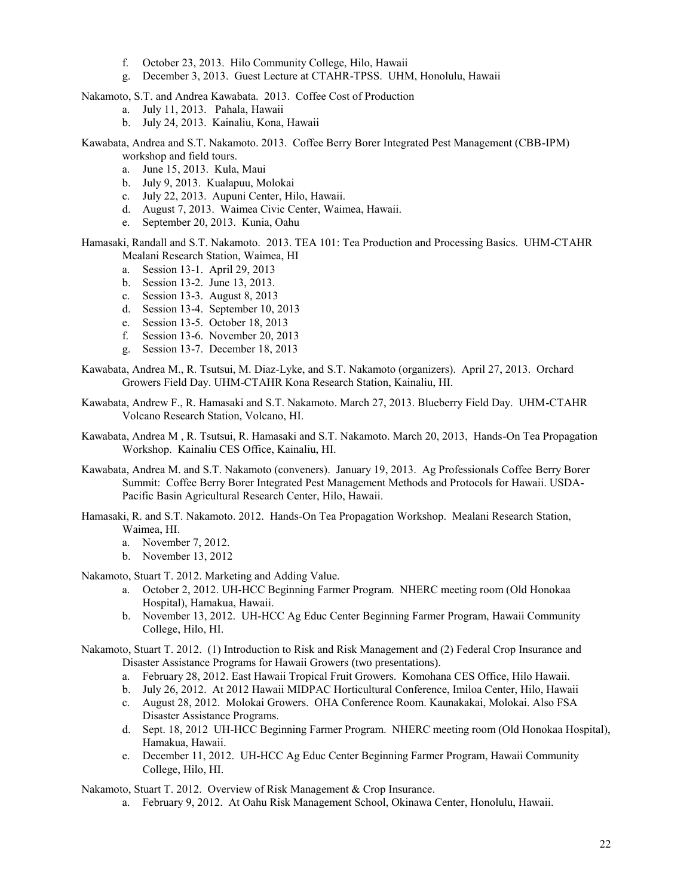- f. October 23, 2013. Hilo Community College, Hilo, Hawaii
- g. December 3, 2013. Guest Lecture at CTAHR-TPSS. UHM, Honolulu, Hawaii

Nakamoto, S.T. and Andrea Kawabata. 2013. Coffee Cost of Production

- a. July 11, 2013. Pahala, Hawaii
- b. July 24, 2013. Kainaliu, Kona, Hawaii

Kawabata, Andrea and S.T. Nakamoto. 2013. Coffee Berry Borer Integrated Pest Management (CBB-IPM) workshop and field tours.

- a. June 15, 2013. Kula, Maui
- b. July 9, 2013. Kualapuu, Molokai
- c. July 22, 2013. Aupuni Center, Hilo, Hawaii.
- d. August 7, 2013. Waimea Civic Center, Waimea, Hawaii.
- e. September 20, 2013. Kunia, Oahu

Hamasaki, Randall and S.T. Nakamoto. 2013. TEA 101: Tea Production and Processing Basics. UHM-CTAHR Mealani Research Station, Waimea, HI

- a. Session 13-1. April 29, 2013
- b. Session 13-2. June 13, 2013.
- c. Session 13-3. August 8, 2013
- d. Session 13-4. September 10, 2013
- e. Session 13-5. October 18, 2013
- f. Session 13-6. November 20, 2013
- g. Session 13-7. December 18, 2013
- Kawabata, Andrea M., R. Tsutsui, M. Diaz-Lyke, and S.T. Nakamoto (organizers). April 27, 2013. Orchard Growers Field Day. UHM-CTAHR Kona Research Station, Kainaliu, HI.
- Kawabata, Andrew F., R. Hamasaki and S.T. Nakamoto. March 27, 2013. Blueberry Field Day. UHM-CTAHR Volcano Research Station, Volcano, HI.
- Kawabata, Andrea M , R. Tsutsui, R. Hamasaki and S.T. Nakamoto. March 20, 2013, Hands-On Tea Propagation Workshop. Kainaliu CES Office, Kainaliu, HI.
- Kawabata, Andrea M. and S.T. Nakamoto (conveners). January 19, 2013. Ag Professionals Coffee Berry Borer Summit: Coffee Berry Borer Integrated Pest Management Methods and Protocols for Hawaii. USDA-Pacific Basin Agricultural Research Center, Hilo, Hawaii.
- Hamasaki, R. and S.T. Nakamoto. 2012. Hands-On Tea Propagation Workshop. Mealani Research Station, Waimea, HI.
	- a. November 7, 2012.
	- b. November 13, 2012

Nakamoto, Stuart T. 2012. Marketing and Adding Value.

- a. October 2, 2012. UH-HCC Beginning Farmer Program. NHERC meeting room (Old Honokaa Hospital), Hamakua, Hawaii.
- b. November 13, 2012. UH-HCC Ag Educ Center Beginning Farmer Program, Hawaii Community College, Hilo, HI.
- Nakamoto, Stuart T. 2012. (1) Introduction to Risk and Risk Management and (2) Federal Crop Insurance and Disaster Assistance Programs for Hawaii Growers (two presentations).
	- a. February 28, 2012. East Hawaii Tropical Fruit Growers. Komohana CES Office, Hilo Hawaii.
	- b. July 26, 2012. At 2012 Hawaii MIDPAC Horticultural Conference, Imiloa Center, Hilo, Hawaii
	- c. August 28, 2012. Molokai Growers. OHA Conference Room. Kaunakakai, Molokai. Also FSA Disaster Assistance Programs.
	- d. Sept. 18, 2012 UH-HCC Beginning Farmer Program. NHERC meeting room (Old Honokaa Hospital), Hamakua, Hawaii.
	- e. December 11, 2012. UH-HCC Ag Educ Center Beginning Farmer Program, Hawaii Community College, Hilo, HI.

Nakamoto, Stuart T. 2012. Overview of Risk Management & Crop Insurance.

a. February 9, 2012. At Oahu Risk Management School, Okinawa Center, Honolulu, Hawaii.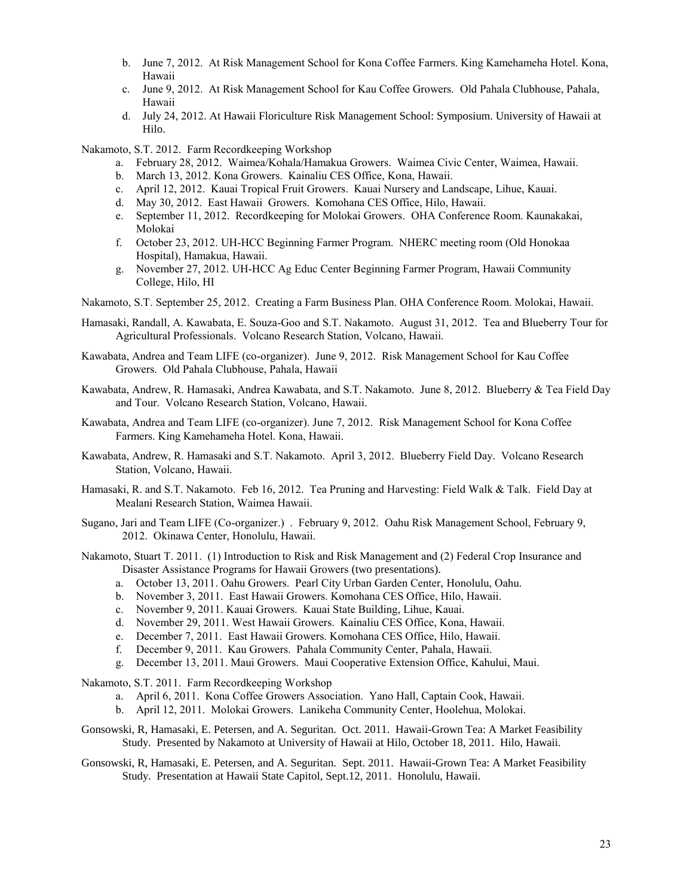- b. June 7, 2012. At Risk Management School for Kona Coffee Farmers. King Kamehameha Hotel. Kona, Hawaii
- c. June 9, 2012. At Risk Management School for Kau Coffee Growers. Old Pahala Clubhouse, Pahala, Hawaii
- d. July 24, 2012. At Hawaii Floriculture Risk Management School: Symposium. University of Hawaii at Hilo.

Nakamoto, S.T. 2012. Farm Recordkeeping Workshop

- a. February 28, 2012. Waimea/Kohala/Hamakua Growers. Waimea Civic Center, Waimea, Hawaii.
- b. March 13, 2012. Kona Growers. Kainaliu CES Office, Kona, Hawaii.
- c. April 12, 2012. Kauai Tropical Fruit Growers. Kauai Nursery and Landscape, Lihue, Kauai.
- d. May 30, 2012. East Hawaii Growers. Komohana CES Office, Hilo, Hawaii.
- e. September 11, 2012. Recordkeeping for Molokai Growers. OHA Conference Room. Kaunakakai, Molokai
- f. October 23, 2012. UH-HCC Beginning Farmer Program. NHERC meeting room (Old Honokaa Hospital), Hamakua, Hawaii.
- g. November 27, 2012. UH-HCC Ag Educ Center Beginning Farmer Program, Hawaii Community College, Hilo, HI
- Nakamoto, S.T. September 25, 2012. Creating a Farm Business Plan. OHA Conference Room. Molokai, Hawaii.
- Hamasaki, Randall, A. Kawabata, E. Souza-Goo and S.T. Nakamoto. August 31, 2012. Tea and Blueberry Tour for Agricultural Professionals. Volcano Research Station, Volcano, Hawaii.
- Kawabata, Andrea and Team LIFE (co-organizer). June 9, 2012. Risk Management School for Kau Coffee Growers. Old Pahala Clubhouse, Pahala, Hawaii
- Kawabata, Andrew, R. Hamasaki, Andrea Kawabata, and S.T. Nakamoto. June 8, 2012. Blueberry & Tea Field Day and Tour. Volcano Research Station, Volcano, Hawaii.
- Kawabata, Andrea and Team LIFE (co-organizer). June 7, 2012. Risk Management School for Kona Coffee Farmers. King Kamehameha Hotel. Kona, Hawaii.
- Kawabata, Andrew, R. Hamasaki and S.T. Nakamoto. April 3, 2012. Blueberry Field Day. Volcano Research Station, Volcano, Hawaii.
- Hamasaki, R. and S.T. Nakamoto. Feb 16, 2012. Tea Pruning and Harvesting: Field Walk & Talk. Field Day at Mealani Research Station, Waimea Hawaii.
- Sugano, Jari and Team LIFE (Co-organizer.) . February 9, 2012. Oahu Risk Management School, February 9, 2012. Okinawa Center, Honolulu, Hawaii.
- Nakamoto, Stuart T. 2011. (1) Introduction to Risk and Risk Management and (2) Federal Crop Insurance and Disaster Assistance Programs for Hawaii Growers (two presentations).
	- a. October 13, 2011. Oahu Growers. Pearl City Urban Garden Center, Honolulu, Oahu.
	- b. November 3, 2011. East Hawaii Growers. Komohana CES Office, Hilo, Hawaii.
	- c. November 9, 2011. Kauai Growers. Kauai State Building, Lihue, Kauai.
	- d. November 29, 2011. West Hawaii Growers. Kainaliu CES Office, Kona, Hawaii.
	- e. December 7, 2011. East Hawaii Growers. Komohana CES Office, Hilo, Hawaii.
	- f. December 9, 2011. Kau Growers. Pahala Community Center, Pahala, Hawaii.
	- g. December 13, 2011. Maui Growers. Maui Cooperative Extension Office, Kahului, Maui.
- Nakamoto, S.T. 2011. Farm Recordkeeping Workshop
	- a. April 6, 2011. Kona Coffee Growers Association. Yano Hall, Captain Cook, Hawaii.
	- b. April 12, 2011. Molokai Growers. Lanikeha Community Center, Hoolehua, Molokai.
- Gonsowski, R, Hamasaki, E. Petersen, and A. Seguritan. Oct. 2011. Hawaii-Grown Tea: A Market Feasibility Study. Presented by Nakamoto at University of Hawaii at Hilo, October 18, 2011. Hilo, Hawaii.
- Gonsowski, R, Hamasaki, E. Petersen, and A. Seguritan. Sept. 2011. Hawaii-Grown Tea: A Market Feasibility Study. Presentation at Hawaii State Capitol, Sept.12, 2011. Honolulu, Hawaii.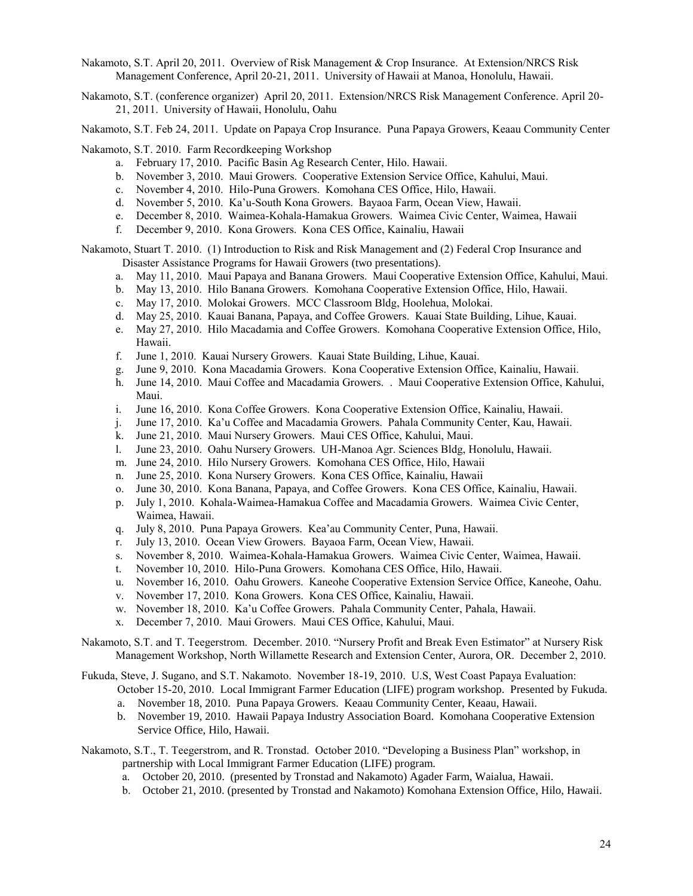- Nakamoto, S.T. April 20, 2011. Overview of Risk Management & Crop Insurance. At Extension/NRCS Risk Management Conference, April 20-21, 2011. University of Hawaii at Manoa, Honolulu, Hawaii.
- Nakamoto, S.T. (conference organizer) April 20, 2011. Extension/NRCS Risk Management Conference. April 20- 21, 2011. University of Hawaii, Honolulu, Oahu
- Nakamoto, S.T. Feb 24, 2011. Update on Papaya Crop Insurance. Puna Papaya Growers, Keaau Community Center

Nakamoto, S.T. 2010. Farm Recordkeeping Workshop

- a. February 17, 2010. Pacific Basin Ag Research Center, Hilo. Hawaii.
- b. November 3, 2010. Maui Growers. Cooperative Extension Service Office, Kahului, Maui.
- c. November 4, 2010. Hilo-Puna Growers. Komohana CES Office, Hilo, Hawaii.
- d. November 5, 2010. Ka'u-South Kona Growers. Bayaoa Farm, Ocean View, Hawaii.
- e. December 8, 2010. Waimea-Kohala-Hamakua Growers. Waimea Civic Center, Waimea, Hawaii
- f. December 9, 2010. Kona Growers. Kona CES Office, Kainaliu, Hawaii

Nakamoto, Stuart T. 2010. (1) Introduction to Risk and Risk Management and (2) Federal Crop Insurance and Disaster Assistance Programs for Hawaii Growers (two presentations).

- a. May 11, 2010. Maui Papaya and Banana Growers. Maui Cooperative Extension Office, Kahului, Maui.
- b. May 13, 2010. Hilo Banana Growers. Komohana Cooperative Extension Office, Hilo, Hawaii.
- c. May 17, 2010. Molokai Growers. MCC Classroom Bldg, Hoolehua, Molokai.
- d. May 25, 2010. Kauai Banana, Papaya, and Coffee Growers. Kauai State Building, Lihue, Kauai.
- e. May 27, 2010. Hilo Macadamia and Coffee Growers. Komohana Cooperative Extension Office, Hilo, Hawaii.
- f. June 1, 2010. Kauai Nursery Growers. Kauai State Building, Lihue, Kauai.
- g. June 9, 2010. Kona Macadamia Growers. Kona Cooperative Extension Office, Kainaliu, Hawaii.
- h. June 14, 2010. Maui Coffee and Macadamia Growers. . Maui Cooperative Extension Office, Kahului, Maui.
- i. June 16, 2010. Kona Coffee Growers. Kona Cooperative Extension Office, Kainaliu, Hawaii.
- j. June 17, 2010. Ka'u Coffee and Macadamia Growers. Pahala Community Center, Kau, Hawaii.
- k. June 21, 2010. Maui Nursery Growers. Maui CES Office, Kahului, Maui.
- l. June 23, 2010. Oahu Nursery Growers. UH-Manoa Agr. Sciences Bldg, Honolulu, Hawaii.
- m. June 24, 2010. Hilo Nursery Growers. Komohana CES Office, Hilo, Hawaii
- n. June 25, 2010. Kona Nursery Growers. Kona CES Office, Kainaliu, Hawaii
- o. June 30, 2010. Kona Banana, Papaya, and Coffee Growers. Kona CES Office, Kainaliu, Hawaii.
- p. July 1, 2010. Kohala-Waimea-Hamakua Coffee and Macadamia Growers. Waimea Civic Center, Waimea, Hawaii.
- q. July 8, 2010. Puna Papaya Growers. Kea'au Community Center, Puna, Hawaii.
- r. July 13, 2010. Ocean View Growers. Bayaoa Farm, Ocean View, Hawaii.
- s. November 8, 2010. Waimea-Kohala-Hamakua Growers. Waimea Civic Center, Waimea, Hawaii.
- t. November 10, 2010. Hilo-Puna Growers. Komohana CES Office, Hilo, Hawaii.
- u. November 16, 2010. Oahu Growers. Kaneohe Cooperative Extension Service Office, Kaneohe, Oahu.
- v. November 17, 2010. Kona Growers. Kona CES Office, Kainaliu, Hawaii.
- w. November 18, 2010. Ka'u Coffee Growers. Pahala Community Center, Pahala, Hawaii.
- x. December 7, 2010. Maui Growers. Maui CES Office, Kahului, Maui.

Nakamoto, S.T. and T. Teegerstrom. December. 2010. "Nursery Profit and Break Even Estimator" at Nursery Risk Management Workshop, North Willamette Research and Extension Center, Aurora, OR. December 2, 2010.

Fukuda, Steve, J. Sugano, and S.T. Nakamoto. November 18-19, 2010. U.S, West Coast Papaya Evaluation: October 15-20, 2010. Local Immigrant Farmer Education (LIFE) program workshop. Presented by Fukuda.

- a. November 18, 2010. Puna Papaya Growers. Keaau Community Center, Keaau, Hawaii.
- b. November 19, 2010. Hawaii Papaya Industry Association Board. Komohana Cooperative Extension Service Office, Hilo, Hawaii.
- Nakamoto, S.T., T. Teegerstrom, and R. Tronstad. October 2010. "Developing a Business Plan" workshop, in partnership with Local Immigrant Farmer Education (LIFE) program.
	- a. October 20, 2010. (presented by Tronstad and Nakamoto) Agader Farm, Waialua, Hawaii.
	- b. October 21, 2010. (presented by Tronstad and Nakamoto) Komohana Extension Office, Hilo, Hawaii.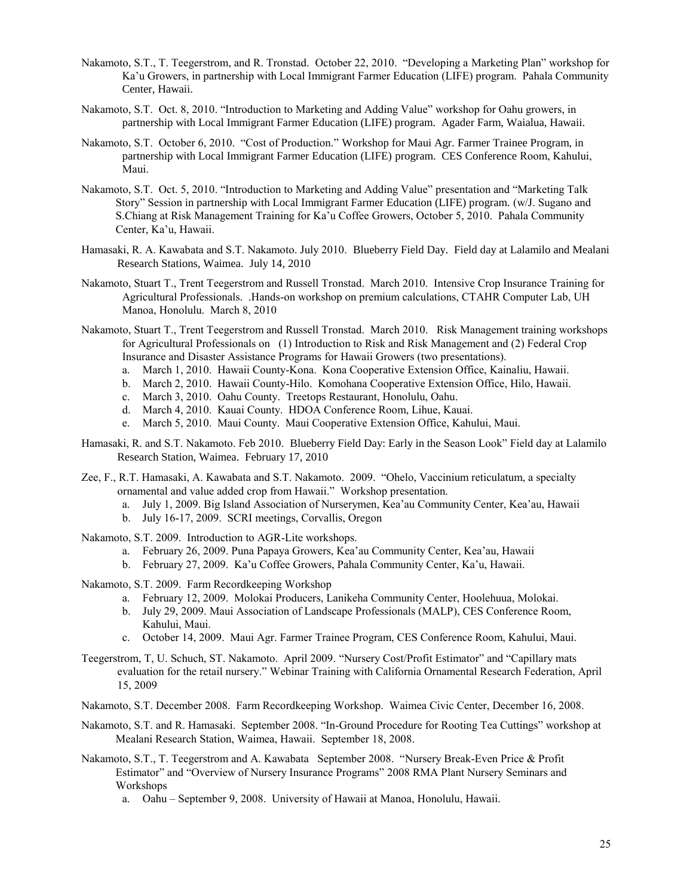- Nakamoto, S.T., T. Teegerstrom, and R. Tronstad. October 22, 2010. "Developing a Marketing Plan" workshop for Ka'u Growers, in partnership with Local Immigrant Farmer Education (LIFE) program. Pahala Community Center, Hawaii.
- Nakamoto, S.T. Oct. 8, 2010. "Introduction to Marketing and Adding Value" workshop for Oahu growers, in partnership with Local Immigrant Farmer Education (LIFE) program. Agader Farm, Waialua, Hawaii.
- Nakamoto, S.T. October 6, 2010. "Cost of Production." Workshop for Maui Agr. Farmer Trainee Program, in partnership with Local Immigrant Farmer Education (LIFE) program. CES Conference Room, Kahului, Maui.
- Nakamoto, S.T. Oct. 5, 2010. "Introduction to Marketing and Adding Value" presentation and "Marketing Talk Story" Session in partnership with Local Immigrant Farmer Education (LIFE) program. (w/J. Sugano and S.Chiang at Risk Management Training for Ka'u Coffee Growers, October 5, 2010. Pahala Community Center, Ka'u, Hawaii.
- Hamasaki, R. A. Kawabata and S.T. Nakamoto. July 2010. Blueberry Field Day. Field day at Lalamilo and Mealani Research Stations, Waimea. July 14, 2010
- Nakamoto, Stuart T., Trent Teegerstrom and Russell Tronstad. March 2010. Intensive Crop Insurance Training for Agricultural Professionals. .Hands-on workshop on premium calculations, CTAHR Computer Lab, UH Manoa, Honolulu. March 8, 2010
- Nakamoto, Stuart T., Trent Teegerstrom and Russell Tronstad. March 2010. Risk Management training workshops for Agricultural Professionals on (1) Introduction to Risk and Risk Management and (2) Federal Crop Insurance and Disaster Assistance Programs for Hawaii Growers (two presentations).
	- a. March 1, 2010. Hawaii County-Kona. Kona Cooperative Extension Office, Kainaliu, Hawaii.
	- b. March 2, 2010. Hawaii County-Hilo. Komohana Cooperative Extension Office, Hilo, Hawaii.
	- c. March 3, 2010. Oahu County. Treetops Restaurant, Honolulu, Oahu.
	- d. March 4, 2010. Kauai County. HDOA Conference Room, Lihue, Kauai.
	- e. March 5, 2010. Maui County. Maui Cooperative Extension Office, Kahului, Maui.
- Hamasaki, R. and S.T. Nakamoto. Feb 2010. Blueberry Field Day: Early in the Season Look" Field day at Lalamilo Research Station, Waimea. February 17, 2010
- Zee, F., R.T. Hamasaki, A. Kawabata and S.T. Nakamoto. 2009. "Ohelo, Vaccinium reticulatum, a specialty ornamental and value added crop from Hawaii." Workshop presentation.
	- a. July 1, 2009. Big Island Association of Nurserymen, Kea'au Community Center, Kea'au, Hawaii
	- b. July 16-17, 2009. SCRI meetings, Corvallis, Oregon
- Nakamoto, S.T. 2009. Introduction to AGR-Lite workshops.
	- a. February 26, 2009. Puna Papaya Growers, Kea'au Community Center, Kea'au, Hawaii
	- b. February 27, 2009. Ka'u Coffee Growers, Pahala Community Center, Ka'u, Hawaii.

Nakamoto, S.T. 2009. Farm Recordkeeping Workshop

- a. February 12, 2009. Molokai Producers, Lanikeha Community Center, Hoolehuua, Molokai.
- b. July 29, 2009. Maui Association of Landscape Professionals (MALP), CES Conference Room, Kahului, Maui.
- c. October 14, 2009. Maui Agr. Farmer Trainee Program, CES Conference Room, Kahului, Maui.
- Teegerstrom, T, U. Schuch, ST. Nakamoto. April 2009. "Nursery Cost/Profit Estimator" and "Capillary mats evaluation for the retail nursery." Webinar Training with California Ornamental Research Federation, April 15, 2009
- Nakamoto, S.T. December 2008. Farm Recordkeeping Workshop. Waimea Civic Center, December 16, 2008.
- Nakamoto, S.T. and R. Hamasaki. September 2008. "In-Ground Procedure for Rooting Tea Cuttings" workshop at Mealani Research Station, Waimea, Hawaii. September 18, 2008.
- Nakamoto, S.T., T. Teegerstrom and A. Kawabata September 2008. "Nursery Break-Even Price & Profit Estimator" and "Overview of Nursery Insurance Programs" 2008 RMA Plant Nursery Seminars and Workshops

a. Oahu – September 9, 2008. University of Hawaii at Manoa, Honolulu, Hawaii.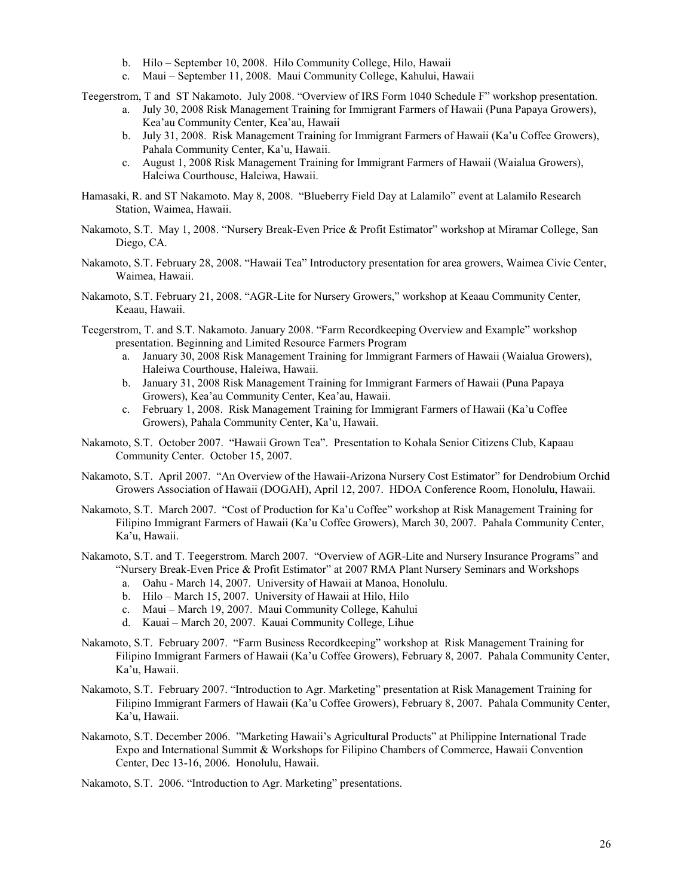- b. Hilo September 10, 2008. Hilo Community College, Hilo, Hawaii
- c. Maui September 11, 2008. Maui Community College, Kahului, Hawaii

Teegerstrom, T and ST Nakamoto. July 2008. "Overview of IRS Form 1040 Schedule F" workshop presentation.

- a. July 30, 2008 Risk Management Training for Immigrant Farmers of Hawaii (Puna Papaya Growers), Kea'au Community Center, Kea'au, Hawaii
- b. July 31, 2008. Risk Management Training for Immigrant Farmers of Hawaii (Ka'u Coffee Growers), Pahala Community Center, Ka'u, Hawaii.
- c. August 1, 2008 Risk Management Training for Immigrant Farmers of Hawaii (Waialua Growers), Haleiwa Courthouse, Haleiwa, Hawaii.
- Hamasaki, R. and ST Nakamoto. May 8, 2008. "Blueberry Field Day at Lalamilo" event at Lalamilo Research Station, Waimea, Hawaii.
- Nakamoto, S.T. May 1, 2008. "Nursery Break-Even Price & Profit Estimator" workshop at Miramar College, San Diego, CA.
- Nakamoto, S.T. February 28, 2008. "Hawaii Tea" Introductory presentation for area growers, Waimea Civic Center, Waimea, Hawaii.
- Nakamoto, S.T. February 21, 2008. "AGR-Lite for Nursery Growers," workshop at Keaau Community Center, Keaau, Hawaii.
- Teegerstrom, T. and S.T. Nakamoto. January 2008. "Farm Recordkeeping Overview and Example" workshop presentation. Beginning and Limited Resource Farmers Program
	- a. January 30, 2008 Risk Management Training for Immigrant Farmers of Hawaii (Waialua Growers), Haleiwa Courthouse, Haleiwa, Hawaii.
	- b. January 31, 2008 Risk Management Training for Immigrant Farmers of Hawaii (Puna Papaya Growers), Kea'au Community Center, Kea'au, Hawaii.
	- c. February 1, 2008. Risk Management Training for Immigrant Farmers of Hawaii (Ka'u Coffee Growers), Pahala Community Center, Ka'u, Hawaii.
- Nakamoto, S.T. October 2007. "Hawaii Grown Tea". Presentation to Kohala Senior Citizens Club, Kapaau Community Center. October 15, 2007.
- Nakamoto, S.T. April 2007. "An Overview of the Hawaii-Arizona Nursery Cost Estimator" for Dendrobium Orchid Growers Association of Hawaii (DOGAH), April 12, 2007. HDOA Conference Room, Honolulu, Hawaii.
- Nakamoto, S.T. March 2007. "Cost of Production for Ka'u Coffee" workshop at Risk Management Training for Filipino Immigrant Farmers of Hawaii (Ka'u Coffee Growers), March 30, 2007. Pahala Community Center, Ka'u, Hawaii.
- Nakamoto, S.T. and T. Teegerstrom. March 2007. "Overview of AGR-Lite and Nursery Insurance Programs" and "Nursery Break-Even Price & Profit Estimator" at 2007 RMA Plant Nursery Seminars and Workshops
	- a. Oahu March 14, 2007. University of Hawaii at Manoa, Honolulu.
	- b. Hilo March 15, 2007. University of Hawaii at Hilo, Hilo
	- c. Maui March 19, 2007. Maui Community College, Kahului
	- d. Kauai March 20, 2007. Kauai Community College, Lihue
- Nakamoto, S.T. February 2007. "Farm Business Recordkeeping" workshop at Risk Management Training for Filipino Immigrant Farmers of Hawaii (Ka'u Coffee Growers), February 8, 2007. Pahala Community Center, Ka'u, Hawaii.
- Nakamoto, S.T. February 2007. "Introduction to Agr. Marketing" presentation at Risk Management Training for Filipino Immigrant Farmers of Hawaii (Ka'u Coffee Growers), February 8, 2007. Pahala Community Center, Ka'u, Hawaii.
- Nakamoto, S.T. December 2006. "Marketing Hawaii's Agricultural Products" at Philippine International Trade Expo and International Summit & Workshops for Filipino Chambers of Commerce, Hawaii Convention Center, Dec 13-16, 2006. Honolulu, Hawaii.

Nakamoto, S.T. 2006. "Introduction to Agr. Marketing" presentations.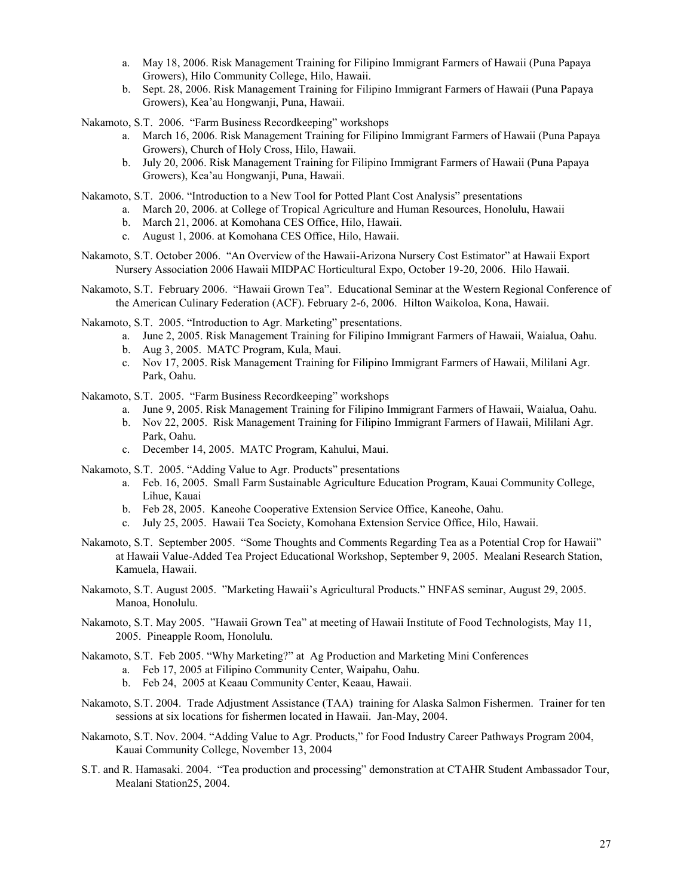- a. May 18, 2006. Risk Management Training for Filipino Immigrant Farmers of Hawaii (Puna Papaya Growers), Hilo Community College, Hilo, Hawaii.
- b. Sept. 28, 2006. Risk Management Training for Filipino Immigrant Farmers of Hawaii (Puna Papaya Growers), Kea'au Hongwanji, Puna, Hawaii.

Nakamoto, S.T. 2006. "Farm Business Recordkeeping" workshops

- a. March 16, 2006. Risk Management Training for Filipino Immigrant Farmers of Hawaii (Puna Papaya Growers), Church of Holy Cross, Hilo, Hawaii.
- b. July 20, 2006. Risk Management Training for Filipino Immigrant Farmers of Hawaii (Puna Papaya Growers), Kea'au Hongwanji, Puna, Hawaii.

Nakamoto, S.T. 2006. "Introduction to a New Tool for Potted Plant Cost Analysis" presentations

- a. March 20, 2006. at College of Tropical Agriculture and Human Resources, Honolulu, Hawaii
- b. March 21, 2006. at Komohana CES Office, Hilo, Hawaii.
- c. August 1, 2006. at Komohana CES Office, Hilo, Hawaii.
- Nakamoto, S.T. October 2006. "An Overview of the Hawaii-Arizona Nursery Cost Estimator" at Hawaii Export Nursery Association 2006 Hawaii MIDPAC Horticultural Expo, October 19-20, 2006. Hilo Hawaii.
- Nakamoto, S.T. February 2006. "Hawaii Grown Tea". Educational Seminar at the Western Regional Conference of the American Culinary Federation (ACF). February 2-6, 2006. Hilton Waikoloa, Kona, Hawaii.

Nakamoto, S.T. 2005. "Introduction to Agr. Marketing" presentations.

- a. June 2, 2005. Risk Management Training for Filipino Immigrant Farmers of Hawaii, Waialua, Oahu.
- b. Aug 3, 2005. MATC Program, Kula, Maui.
- c. Nov 17, 2005. Risk Management Training for Filipino Immigrant Farmers of Hawaii, Mililani Agr. Park, Oahu.

Nakamoto, S.T. 2005. "Farm Business Recordkeeping" workshops

- a. June 9, 2005. Risk Management Training for Filipino Immigrant Farmers of Hawaii, Waialua, Oahu.
- b. Nov 22, 2005. Risk Management Training for Filipino Immigrant Farmers of Hawaii, Mililani Agr. Park, Oahu.
- c. December 14, 2005. MATC Program, Kahului, Maui.

Nakamoto, S.T. 2005. "Adding Value to Agr. Products" presentations

- a. Feb. 16, 2005. Small Farm Sustainable Agriculture Education Program, Kauai Community College, Lihue, Kauai
- b. Feb 28, 2005. Kaneohe Cooperative Extension Service Office, Kaneohe, Oahu.
- c. July 25, 2005. Hawaii Tea Society, Komohana Extension Service Office, Hilo, Hawaii.
- Nakamoto, S.T. September 2005. "Some Thoughts and Comments Regarding Tea as a Potential Crop for Hawaii" at Hawaii Value-Added Tea Project Educational Workshop, September 9, 2005. Mealani Research Station, Kamuela, Hawaii.
- Nakamoto, S.T. August 2005. "Marketing Hawaii's Agricultural Products." HNFAS seminar, August 29, 2005. Manoa, Honolulu.
- Nakamoto, S.T. May 2005. "Hawaii Grown Tea" at meeting of Hawaii Institute of Food Technologists, May 11, 2005. Pineapple Room, Honolulu.
- Nakamoto, S.T. Feb 2005. "Why Marketing?" at Ag Production and Marketing Mini Conferences
	- a. Feb 17, 2005 at Filipino Community Center, Waipahu, Oahu.
	- b. Feb 24, 2005 at Keaau Community Center, Keaau, Hawaii.
- Nakamoto, S.T. 2004. Trade Adjustment Assistance (TAA) training for Alaska Salmon Fishermen. Trainer for ten sessions at six locations for fishermen located in Hawaii. Jan-May, 2004.
- Nakamoto, S.T. Nov. 2004. "Adding Value to Agr. Products," for Food Industry Career Pathways Program 2004, Kauai Community College, November 13, 2004
- S.T. and R. Hamasaki. 2004. "Tea production and processing" demonstration at CTAHR Student Ambassador Tour, Mealani Station25, 2004.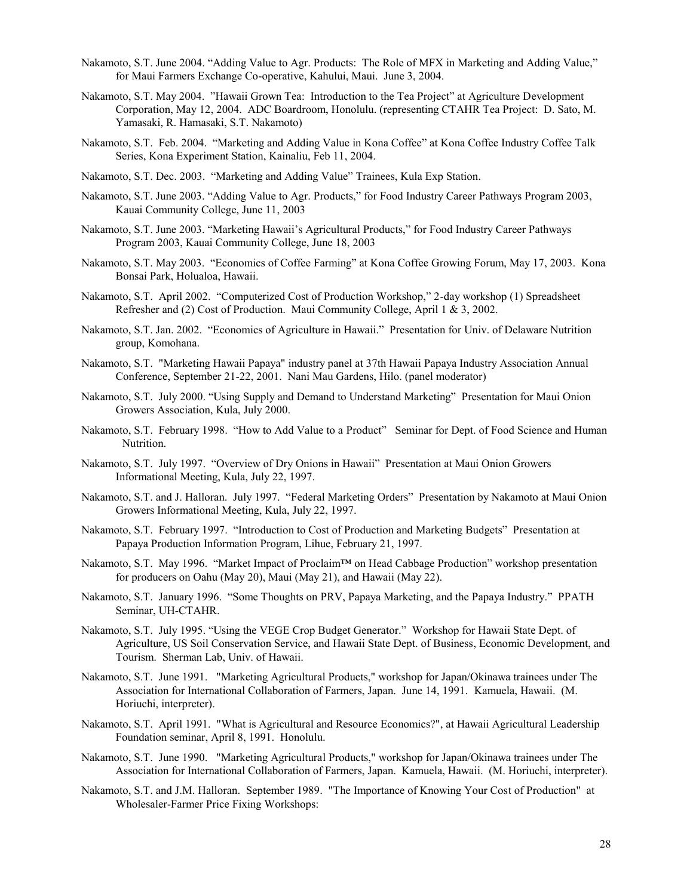- Nakamoto, S.T. June 2004. "Adding Value to Agr. Products: The Role of MFX in Marketing and Adding Value," for Maui Farmers Exchange Co-operative, Kahului, Maui. June 3, 2004.
- Nakamoto, S.T. May 2004. "Hawaii Grown Tea: Introduction to the Tea Project" at Agriculture Development Corporation, May 12, 2004. ADC Boardroom, Honolulu. (representing CTAHR Tea Project: D. Sato, M. Yamasaki, R. Hamasaki, S.T. Nakamoto)
- Nakamoto, S.T. Feb. 2004. "Marketing and Adding Value in Kona Coffee" at Kona Coffee Industry Coffee Talk Series, Kona Experiment Station, Kainaliu, Feb 11, 2004.
- Nakamoto, S.T. Dec. 2003. "Marketing and Adding Value" Trainees, Kula Exp Station.
- Nakamoto, S.T. June 2003. "Adding Value to Agr. Products," for Food Industry Career Pathways Program 2003, Kauai Community College, June 11, 2003
- Nakamoto, S.T. June 2003. "Marketing Hawaii's Agricultural Products," for Food Industry Career Pathways Program 2003, Kauai Community College, June 18, 2003
- Nakamoto, S.T. May 2003. "Economics of Coffee Farming" at Kona Coffee Growing Forum, May 17, 2003. Kona Bonsai Park, Holualoa, Hawaii.
- Nakamoto, S.T. April 2002. "Computerized Cost of Production Workshop," 2-day workshop (1) Spreadsheet Refresher and (2) Cost of Production. Maui Community College, April 1 & 3, 2002.
- Nakamoto, S.T. Jan. 2002. "Economics of Agriculture in Hawaii." Presentation for Univ. of Delaware Nutrition group, Komohana.
- Nakamoto, S.T. "Marketing Hawaii Papaya" industry panel at 37th Hawaii Papaya Industry Association Annual Conference, September 21-22, 2001. Nani Mau Gardens, Hilo. (panel moderator)
- Nakamoto, S.T. July 2000. "Using Supply and Demand to Understand Marketing" Presentation for Maui Onion Growers Association, Kula, July 2000.
- Nakamoto, S.T. February 1998. "How to Add Value to a Product" Seminar for Dept. of Food Science and Human Nutrition.
- Nakamoto, S.T. July 1997. "Overview of Dry Onions in Hawaii" Presentation at Maui Onion Growers Informational Meeting, Kula, July 22, 1997.
- Nakamoto, S.T. and J. Halloran. July 1997. "Federal Marketing Orders" Presentation by Nakamoto at Maui Onion Growers Informational Meeting, Kula, July 22, 1997.
- Nakamoto, S.T. February 1997. "Introduction to Cost of Production and Marketing Budgets" Presentation at Papaya Production Information Program, Lihue, February 21, 1997.
- Nakamoto, S.T. May 1996. "Market Impact of Proclaim™ on Head Cabbage Production" workshop presentation for producers on Oahu (May 20), Maui (May 21), and Hawaii (May 22).
- Nakamoto, S.T. January 1996. "Some Thoughts on PRV, Papaya Marketing, and the Papaya Industry." PPATH Seminar, UH-CTAHR.
- Nakamoto, S.T. July 1995. "Using the VEGE Crop Budget Generator." Workshop for Hawaii State Dept. of Agriculture, US Soil Conservation Service, and Hawaii State Dept. of Business, Economic Development, and Tourism. Sherman Lab, Univ. of Hawaii.
- Nakamoto, S.T. June 1991. "Marketing Agricultural Products," workshop for Japan/Okinawa trainees under The Association for International Collaboration of Farmers, Japan. June 14, 1991. Kamuela, Hawaii. (M. Horiuchi, interpreter).
- Nakamoto, S.T. April 1991. "What is Agricultural and Resource Economics?", at Hawaii Agricultural Leadership Foundation seminar, April 8, 1991. Honolulu.
- Nakamoto, S.T. June 1990. "Marketing Agricultural Products," workshop for Japan/Okinawa trainees under The Association for International Collaboration of Farmers, Japan. Kamuela, Hawaii. (M. Horiuchi, interpreter).
- Nakamoto, S.T. and J.M. Halloran. September 1989. "The Importance of Knowing Your Cost of Production" at Wholesaler-Farmer Price Fixing Workshops: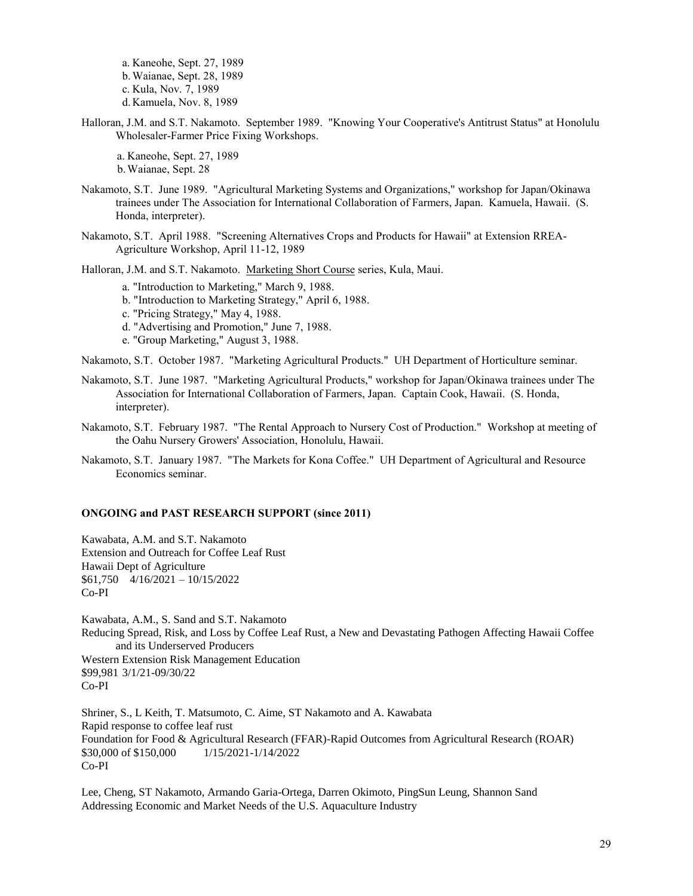a. Kaneohe, Sept. 27, 1989 b.Waianae, Sept. 28, 1989 c. Kula, Nov. 7, 1989 d. Kamuela, Nov. 8, 1989

Halloran, J.M. and S.T. Nakamoto. September 1989. "Knowing Your Cooperative's Antitrust Status" at Honolulu Wholesaler-Farmer Price Fixing Workshops.

a. Kaneohe, Sept. 27, 1989 b.Waianae, Sept. 28

- Nakamoto, S.T. June 1989. "Agricultural Marketing Systems and Organizations," workshop for Japan/Okinawa trainees under The Association for International Collaboration of Farmers, Japan. Kamuela, Hawaii. (S. Honda, interpreter).
- Nakamoto, S.T. April 1988. "Screening Alternatives Crops and Products for Hawaii" at Extension RREA-Agriculture Workshop, April 11-12, 1989

Halloran, J.M. and S.T. Nakamoto. Marketing Short Course series, Kula, Maui.

a. "Introduction to Marketing," March 9, 1988.

b. "Introduction to Marketing Strategy," April 6, 1988.

c. "Pricing Strategy," May 4, 1988.

d. "Advertising and Promotion," June 7, 1988.

e. "Group Marketing," August 3, 1988.

Nakamoto, S.T. October 1987. "Marketing Agricultural Products." UH Department of Horticulture seminar.

- Nakamoto, S.T. June 1987. "Marketing Agricultural Products," workshop for Japan/Okinawa trainees under The Association for International Collaboration of Farmers, Japan. Captain Cook, Hawaii. (S. Honda, interpreter).
- Nakamoto, S.T. February 1987. "The Rental Approach to Nursery Cost of Production." Workshop at meeting of the Oahu Nursery Growers' Association, Honolulu, Hawaii.
- Nakamoto, S.T. January 1987. "The Markets for Kona Coffee." UH Department of Agricultural and Resource Economics seminar.

#### **ONGOING and PAST RESEARCH SUPPORT (since 2011)**

Kawabata, A.M. and S.T. Nakamoto Extension and Outreach for Coffee Leaf Rust Hawaii Dept of Agriculture \$61,750 4/16/2021 – 10/15/2022 Co-PI

Kawabata, A.M., S. Sand and S.T. Nakamoto Reducing Spread, Risk, and Loss by Coffee Leaf Rust, a New and Devastating Pathogen Affecting Hawaii Coffee and its Underserved Producers Western Extension Risk Management Education \$99,981 3/1/21-09/30/22 Co-PI

Shriner, S., L Keith, T. Matsumoto, C. Aime, ST Nakamoto and A. Kawabata Rapid response to coffee leaf rust Foundation for Food & Agricultural Research (FFAR)-Rapid Outcomes from Agricultural Research (ROAR) \$30,000 of \$150,000 1/15/2021-1/14/2022 Co-PI

Lee, Cheng, ST Nakamoto, Armando Garia-Ortega, Darren Okimoto, PingSun Leung, Shannon Sand Addressing Economic and Market Needs of the U.S. Aquaculture Industry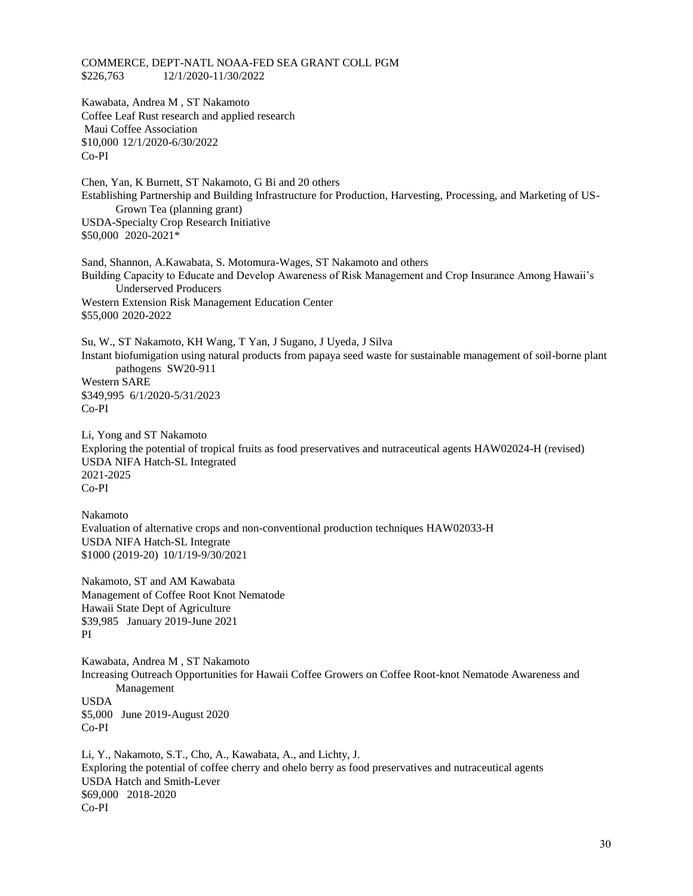COMMERCE, DEPT-NATL NOAA-FED SEA GRANT COLL PGM \$226,763 12/1/2020-11/30/2022

Kawabata, Andrea M , ST Nakamoto Coffee Leaf Rust research and applied research Maui Coffee Association \$10,000 12/1/2020-6/30/2022 Co-PI

Chen, Yan, K Burnett, ST Nakamoto, G Bi and 20 others Establishing Partnership and Building Infrastructure for Production, Harvesting, Processing, and Marketing of US-Grown Tea (planning grant) USDA-Specialty Crop Research Initiative \$50,000 2020-2021\*

Sand, Shannon, A.Kawabata, S. Motomura-Wages, ST Nakamoto and others Building Capacity to Educate and Develop Awareness of Risk Management and Crop Insurance Among Hawaii's Underserved Producers Western Extension Risk Management Education Center \$55,000 2020-2022

Su, W., ST Nakamoto, KH Wang, T Yan, J Sugano, J Uyeda, J Silva Instant biofumigation using natural products from papaya seed waste for sustainable management of soil-borne plant pathogens SW20-911 Western SARE \$349,995 6/1/2020-5/31/2023 Co-PI

Li, Yong and ST Nakamoto Exploring the potential of tropical fruits as food preservatives and nutraceutical agents HAW02024-H (revised) USDA NIFA Hatch-SL Integrated 2021-2025 Co-PI

Nakamoto Evaluation of alternative crops and non-conventional production techniques HAW02033-H USDA NIFA Hatch-SL Integrate \$1000 (2019-20) 10/1/19-9/30/2021

Nakamoto, ST and AM Kawabata Management of Coffee Root Knot Nematode Hawaii State Dept of Agriculture \$39,985 January 2019-June 2021 PI

Kawabata, Andrea M , ST Nakamoto Increasing Outreach Opportunities for Hawaii Coffee Growers on Coffee Root-knot Nematode Awareness and Management USDA \$5,000 June 2019-August 2020 Co-PI

Li, Y., Nakamoto, S.T., Cho, A., Kawabata, A., and Lichty, J. Exploring the potential of coffee cherry and ohelo berry as food preservatives and nutraceutical agents USDA Hatch and Smith-Lever \$69,000 2018-2020 Co-PI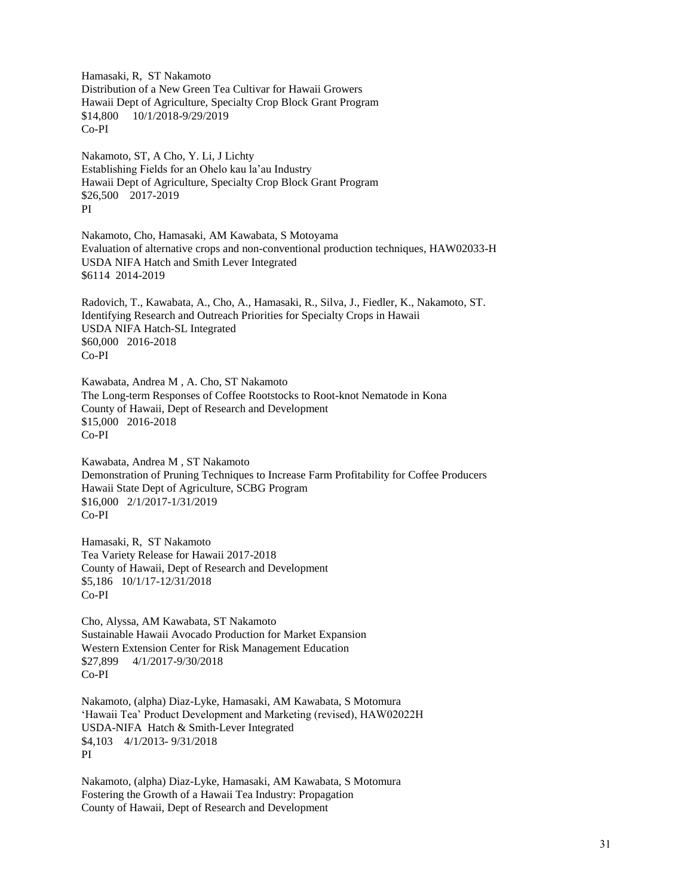Hamasaki, R, ST Nakamoto Distribution of a New Green Tea Cultivar for Hawaii Growers Hawaii Dept of Agriculture, Specialty Crop Block Grant Program \$14,800 10/1/2018-9/29/2019 Co-PI

Nakamoto, ST, A Cho, Y. Li, J Lichty Establishing Fields for an Ohelo kau la'au Industry Hawaii Dept of Agriculture, Specialty Crop Block Grant Program \$26,500 2017-2019 PI

Nakamoto, Cho, Hamasaki, AM Kawabata, S Motoyama Evaluation of alternative crops and non-conventional production techniques, HAW02033-H USDA NIFA Hatch and Smith Lever Integrated \$6114 2014-2019

Radovich, T., Kawabata, A., Cho, A., Hamasaki, R., Silva, J., Fiedler, K., Nakamoto, ST. Identifying Research and Outreach Priorities for Specialty Crops in Hawaii USDA NIFA Hatch-SL Integrated \$60,000 2016-2018 Co-PI

Kawabata, Andrea M , A. Cho, ST Nakamoto The Long-term Responses of Coffee Rootstocks to Root-knot Nematode in Kona County of Hawaii, Dept of Research and Development \$15,000 2016-2018 Co-PI

Kawabata, Andrea M , ST Nakamoto Demonstration of Pruning Techniques to Increase Farm Profitability for Coffee Producers Hawaii State Dept of Agriculture, SCBG Program \$16,000 2/1/2017-1/31/2019 Co-PI

Hamasaki, R, ST Nakamoto Tea Variety Release for Hawaii 2017-2018 County of Hawaii, Dept of Research and Development \$5,186 10/1/17-12/31/2018 Co-PI

Cho, Alyssa, AM Kawabata, ST Nakamoto Sustainable Hawaii Avocado Production for Market Expansion Western Extension Center for Risk Management Education \$27,899 4/1/2017-9/30/2018 Co-PI

Nakamoto, (alpha) Diaz-Lyke, Hamasaki, AM Kawabata, S Motomura 'Hawaii Tea' Product Development and Marketing (revised), HAW02022H USDA-NIFA Hatch & Smith-Lever Integrated \$4,103 4/1/2013- 9/31/2018 PI

Nakamoto, (alpha) Diaz-Lyke, Hamasaki, AM Kawabata, S Motomura Fostering the Growth of a Hawaii Tea Industry: Propagation County of Hawaii, Dept of Research and Development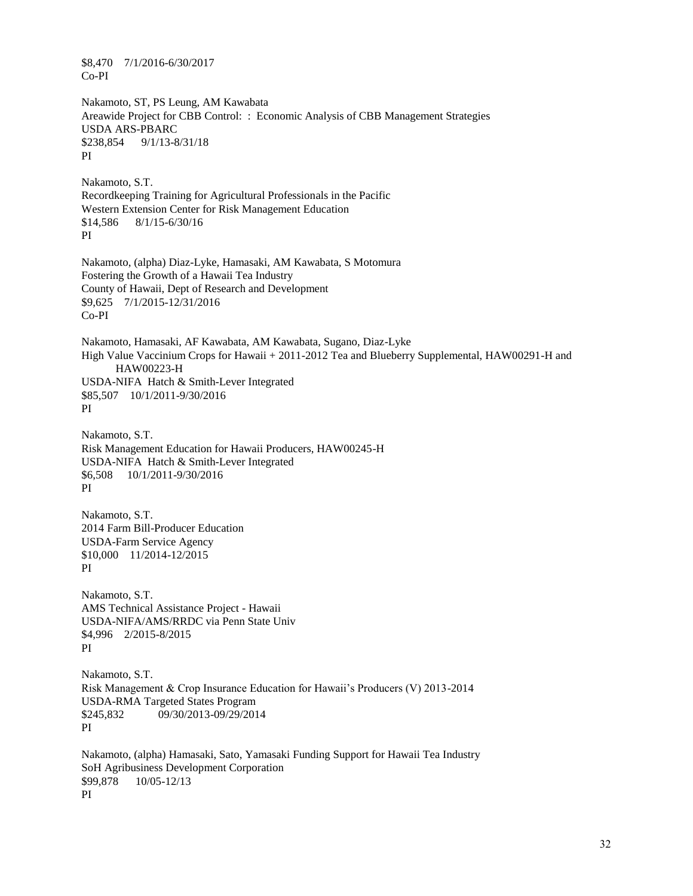\$8,470 7/1/2016-6/30/2017 Co-PI

Nakamoto, ST, PS Leung, AM Kawabata Areawide Project for CBB Control: : Economic Analysis of CBB Management Strategies USDA ARS-PBARC \$238,854 9/1/13-8/31/18 PI

Nakamoto, S.T. Recordkeeping Training for Agricultural Professionals in the Pacific Western Extension Center for Risk Management Education \$14,586 8/1/15-6/30/16 PI

Nakamoto, (alpha) Diaz-Lyke, Hamasaki, AM Kawabata, S Motomura Fostering the Growth of a Hawaii Tea Industry County of Hawaii, Dept of Research and Development \$9,625 7/1/2015-12/31/2016 Co-PI

Nakamoto, Hamasaki, AF Kawabata, AM Kawabata, Sugano, Diaz-Lyke High Value Vaccinium Crops for Hawaii + 2011-2012 Tea and Blueberry Supplemental, HAW00291-H and HAW00223-H USDA-NIFA Hatch & Smith-Lever Integrated \$85,507 10/1/2011-9/30/2016 PI

Nakamoto, S.T. Risk Management Education for Hawaii Producers, HAW00245-H USDA-NIFA Hatch & Smith-Lever Integrated \$6,508 10/1/2011-9/30/2016 PI

Nakamoto, S.T. 2014 Farm Bill-Producer Education USDA-Farm Service Agency \$10,000 11/2014-12/2015 PI

Nakamoto, S.T. AMS Technical Assistance Project - Hawaii USDA-NIFA/AMS/RRDC via Penn State Univ \$4,996 2/2015-8/2015 PI

Nakamoto, S.T. Risk Management & Crop Insurance Education for Hawaii's Producers (V) 2013-2014 USDA-RMA Targeted States Program \$245,832 09/30/2013-09/29/2014 PI

Nakamoto, (alpha) Hamasaki, Sato, Yamasaki Funding Support for Hawaii Tea Industry SoH Agribusiness Development Corporation \$99,878 10/05-12/13 PI